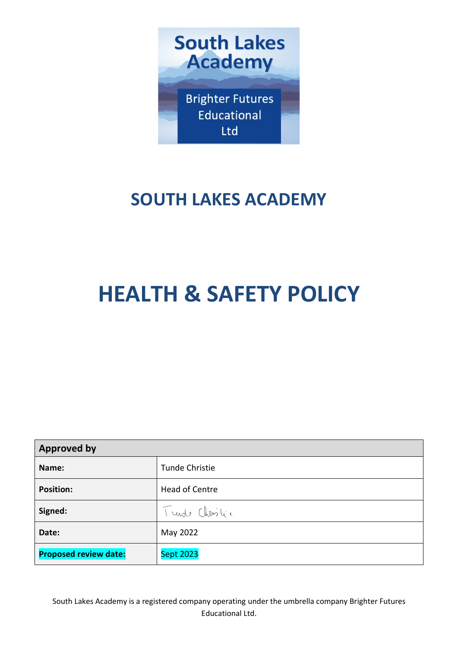

## **SOUTH LAKES ACADEMY**

# **HEALTH & SAFETY POLICY**

| <b>Approved by</b>           |                  |  |
|------------------------------|------------------|--|
| Name:                        | Tunde Christie   |  |
| <b>Position:</b>             | Head of Centre   |  |
| Signed:                      | Turde Christic   |  |
| Date:                        | May 2022         |  |
| <b>Proposed review date:</b> | <b>Sept 2023</b> |  |

South Lakes Academy is a registered company operating under the umbrella company Brighter Futures Educational Ltd.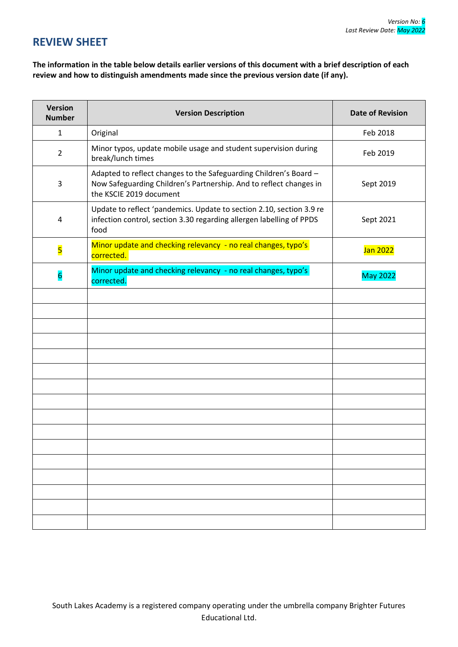## **REVIEW SHEET**

**The information in the table below details earlier versions of this document with a brief description of each review and how to distinguish amendments made since the previous version date (if any).**

| <b>Version</b><br><b>Number</b> | <b>Version Description</b>                                                                                                                                         | <b>Date of Revision</b> |
|---------------------------------|--------------------------------------------------------------------------------------------------------------------------------------------------------------------|-------------------------|
| $\mathbf{1}$                    | Original                                                                                                                                                           | Feb 2018                |
| $\overline{2}$                  | Minor typos, update mobile usage and student supervision during<br>break/lunch times                                                                               | Feb 2019                |
| 3                               | Adapted to reflect changes to the Safeguarding Children's Board -<br>Now Safeguarding Children's Partnership. And to reflect changes in<br>the KSCIE 2019 document | Sept 2019               |
| $\overline{4}$                  | Update to reflect 'pandemics. Update to section 2.10, section 3.9 re<br>infection control, section 3.30 regarding allergen labelling of PPDS<br>food               | Sept 2021               |
| 5                               | Minor update and checking relevancy - no real changes, typo's<br>corrected.                                                                                        | Jan 2022                |
| $6\overline{6}$                 | Minor update and checking relevancy - no real changes, typo's<br>corrected.                                                                                        | <b>May 2022</b>         |
|                                 |                                                                                                                                                                    |                         |
|                                 |                                                                                                                                                                    |                         |
|                                 |                                                                                                                                                                    |                         |
|                                 |                                                                                                                                                                    |                         |
|                                 |                                                                                                                                                                    |                         |
|                                 |                                                                                                                                                                    |                         |
|                                 |                                                                                                                                                                    |                         |
|                                 |                                                                                                                                                                    |                         |
|                                 |                                                                                                                                                                    |                         |
|                                 |                                                                                                                                                                    |                         |
|                                 |                                                                                                                                                                    |                         |
|                                 |                                                                                                                                                                    |                         |
|                                 |                                                                                                                                                                    |                         |
|                                 |                                                                                                                                                                    |                         |
|                                 |                                                                                                                                                                    |                         |
|                                 |                                                                                                                                                                    |                         |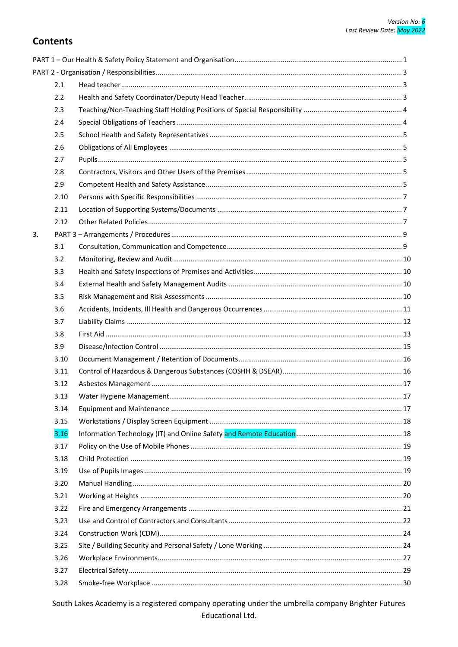## **Contents**

|    | 2.1  |  |
|----|------|--|
|    | 2.2  |  |
|    | 2.3  |  |
|    | 2.4  |  |
|    | 2.5  |  |
|    | 2.6  |  |
|    | 2.7  |  |
|    | 2.8  |  |
|    | 2.9  |  |
|    | 2.10 |  |
|    | 2.11 |  |
|    | 2.12 |  |
| 3. |      |  |
|    | 3.1  |  |
|    | 3.2  |  |
|    | 3.3  |  |
|    | 3.4  |  |
|    | 3.5  |  |
|    | 3.6  |  |
|    | 3.7  |  |
|    | 3.8  |  |
|    | 3.9  |  |
|    | 3.10 |  |
|    | 3.11 |  |
|    | 3.12 |  |
|    | 3.13 |  |
|    | 3.14 |  |
|    | 3.15 |  |
|    | 3.16 |  |
|    | 3.17 |  |
|    | 3.18 |  |
|    | 3.19 |  |
|    | 3.20 |  |
|    | 3.21 |  |
|    | 3.22 |  |
|    | 3.23 |  |
|    | 3.24 |  |
|    | 3.25 |  |
|    | 3.26 |  |
|    | 3.27 |  |
|    | 3.28 |  |
|    |      |  |

South Lakes Academy is a registered company operating under the umbrella company Brighter Futures Educational Ltd.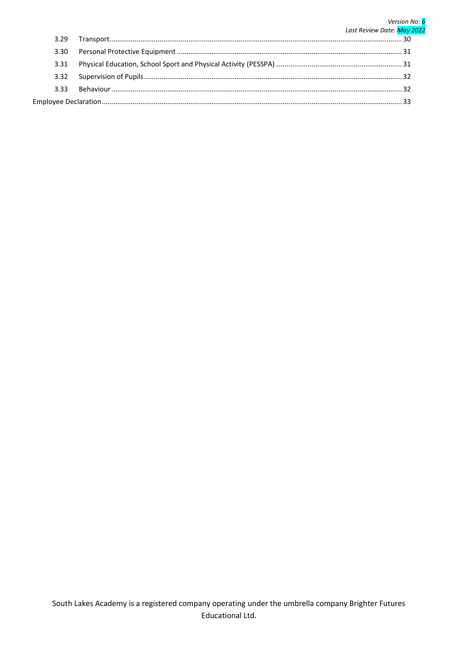#### Version No: 6 Last Review Date: May 2022  $3.29$ 3.30  $3.31$ 3.32  $3.33$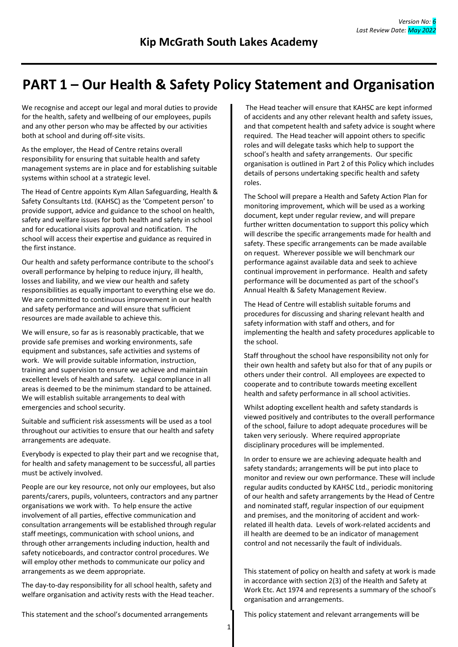## <span id="page-4-0"></span>**PART 1 – Our Health & Safety Policy Statement and Organisation**

We recognise and accept our legal and moral duties to provide for the health, safety and wellbeing of our employees, pupils and any other person who may be affected by our activities both at school and during off-site visits.

As the employer, the Head of Centre retains overall responsibility for ensuring that suitable health and safety management systems are in place and for establishing suitable systems within school at a strategic level.

The Head of Centre appoints Kym Allan Safeguarding, Health & Safety Consultants Ltd. (KAHSC) as the 'Competent person' to provide support, advice and guidance to the school on health, safety and welfare issues for both health and safety in school and for educational visits approval and notification. The school will access their expertise and guidance as required in the first instance.

Our health and safety performance contribute to the school's overall performance by helping to reduce injury, ill health, losses and liability, and we view our health and safety responsibilities as equally important to everything else we do. We are committed to continuous improvement in our health and safety performance and will ensure that sufficient resources are made available to achieve this.

We will ensure, so far as is reasonably practicable, that we provide safe premises and working environments, safe equipment and substances, safe activities and systems of work. We will provide suitable information, instruction, training and supervision to ensure we achieve and maintain excellent levels of health and safety. Legal compliance in all areas is deemed to be the minimum standard to be attained. We will establish suitable arrangements to deal with emergencies and school security.

Suitable and sufficient risk assessments will be used as a tool throughout our activities to ensure that our health and safety arrangements are adequate.

Everybody is expected to play their part and we recognise that, for health and safety management to be successful, all parties must be actively involved.

People are our key resource, not only our employees, but also parents/carers, pupils, volunteers, contractors and any partner organisations we work with. To help ensure the active involvement of all parties, effective communication and consultation arrangements will be established through regular staff meetings, communication with school unions, and through other arrangements including induction, health and safety noticeboards, and contractor control procedures. We will employ other methods to communicate our policy and arrangements as we deem appropriate.

The day-to-day responsibility for all school health, safety and welfare organisation and activity rests with the Head teacher.

The Head teacher will ensure that KAHSC are kept informed of accidents and any other relevant health and safety issues, and that competent health and safety advice is sought where required. The Head teacher will appoint others to specific roles and will delegate tasks which help to support the school's health and safety arrangements. Our specific organisation is outlined in Part 2 of this Policy which includes details of persons undertaking specific health and safety roles.

The School will prepare a Health and Safety Action Plan for monitoring improvement, which will be used as a working document, kept under regular review, and will prepare further written documentation to support this policy which will describe the specific arrangements made for health and safety. These specific arrangements can be made available on request. Wherever possible we will benchmark our performance against available data and seek to achieve continual improvement in performance. Health and safety performance will be documented as part of the school's Annual Health & Safety Management Review.

The Head of Centre will establish suitable forums and procedures for discussing and sharing relevant health and safety information with staff and others, and for implementing the health and safety procedures applicable to the school.

Staff throughout the school have responsibility not only for their own health and safety but also for that of any pupils or others under their control. All employees are expected to cooperate and to contribute towards meeting excellent health and safety performance in all school activities.

Whilst adopting excellent health and safety standards is viewed positively and contributes to the overall performance of the school, failure to adopt adequate procedures will be taken very seriously. Where required appropriate disciplinary procedures will be implemented.

In order to ensure we are achieving adequate health and safety standards; arrangements will be put into place to monitor and review our own performance. These will include regular audits conducted by KAHSC Ltd., periodic monitoring of our health and safety arrangements by the Head of Centre and nominated staff, regular inspection of our equipment and premises, and the monitoring of accident and workrelated ill health data. Levels of work-related accidents and ill health are deemed to be an indicator of management control and not necessarily the fault of individuals.

This statement of policy on health and safety at work is made in accordance with section 2(3) of the Health and Safety at Work Etc. Act 1974 and represents a summary of the school's organisation and arrangements.

This statement and the school's documented arrangements This policy statement and relevant arrangements will be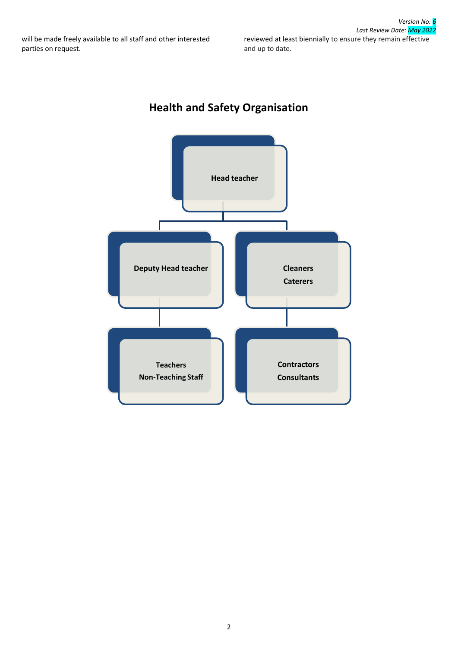## **Health and Safety Organisation**

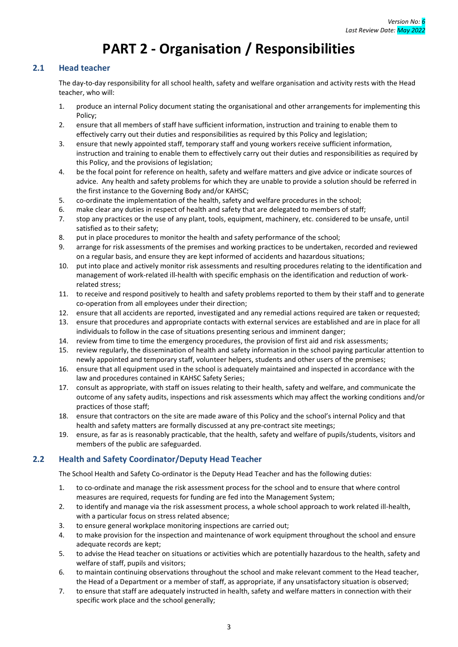## **PART 2 - Organisation / Responsibilities**

## <span id="page-6-1"></span><span id="page-6-0"></span>**2.1 Head teacher**

The day-to-day responsibility for all school health, safety and welfare organisation and activity rests with the Head teacher, who will:

- 1. produce an internal Policy document stating the organisational and other arrangements for implementing this Policy;
- 2. ensure that all members of staff have sufficient information, instruction and training to enable them to effectively carry out their duties and responsibilities as required by this Policy and legislation;
- 3. ensure that newly appointed staff, temporary staff and young workers receive sufficient information, instruction and training to enable them to effectively carry out their duties and responsibilities as required by this Policy, and the provisions of legislation;
- 4. be the focal point for reference on health, safety and welfare matters and give advice or indicate sources of advice. Any health and safety problems for which they are unable to provide a solution should be referred in the first instance to the Governing Body and/or KAHSC;
- 5. co-ordinate the implementation of the health, safety and welfare procedures in the school;
- 6. make clear any duties in respect of health and safety that are delegated to members of staff;
- 7. stop any practices or the use of any plant, tools, equipment, machinery, etc. considered to be unsafe, until satisfied as to their safety;
- 8. put in place procedures to monitor the health and safety performance of the school;
- 9. arrange for risk assessments of the premises and working practices to be undertaken, recorded and reviewed on a regular basis, and ensure they are kept informed of accidents and hazardous situations;
- 10. put into place and actively monitor risk assessments and resulting procedures relating to the identification and management of work-related ill-health with specific emphasis on the identification and reduction of workrelated stress;
- 11. to receive and respond positively to health and safety problems reported to them by their staff and to generate co-operation from all employees under their direction;
- 12. ensure that all accidents are reported, investigated and any remedial actions required are taken or requested;
- 13. ensure that procedures and appropriate contacts with external services are established and are in place for all individuals to follow in the case of situations presenting serious and imminent danger;
- 14. review from time to time the emergency procedures, the provision of first aid and risk assessments;
- 15. review regularly, the dissemination of health and safety information in the school paying particular attention to newly appointed and temporary staff, volunteer helpers, students and other users of the premises;
- 16. ensure that all equipment used in the school is adequately maintained and inspected in accordance with the law and procedures contained in KAHSC Safety Series;
- 17. consult as appropriate, with staff on issues relating to their health, safety and welfare, and communicate the outcome of any safety audits, inspections and risk assessments which may affect the working conditions and/or practices of those staff;
- 18. ensure that contractors on the site are made aware of this Policy and the school's internal Policy and that health and safety matters are formally discussed at any pre-contract site meetings;
- 19. ensure, as far as is reasonably practicable, that the health, safety and welfare of pupils/students, visitors and members of the public are safeguarded.

## <span id="page-6-2"></span>**2.2 Health and Safety Coordinator/Deputy Head Teacher**

The School Health and Safety Co-ordinator is the Deputy Head Teacher and has the following duties:

- 1. to co-ordinate and manage the risk assessment process for the school and to ensure that where control measures are required, requests for funding are fed into the Management System;
- 2. to identify and manage via the risk assessment process, a whole school approach to work related ill-health, with a particular focus on stress related absence;
- 3. to ensure general workplace monitoring inspections are carried out;
- 4. to make provision for the inspection and maintenance of work equipment throughout the school and ensure adequate records are kept;
- 5. to advise the Head teacher on situations or activities which are potentially hazardous to the health, safety and welfare of staff, pupils and visitors;
- 6. to maintain continuing observations throughout the school and make relevant comment to the Head teacher, the Head of a Department or a member of staff, as appropriate, if any unsatisfactory situation is observed;
- 7. to ensure that staff are adequately instructed in health, safety and welfare matters in connection with their specific work place and the school generally;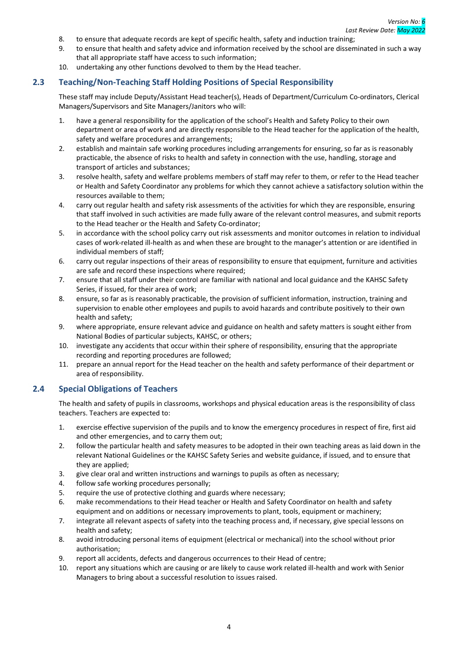- 8. to ensure that adequate records are kept of specific health, safety and induction training;
- 9. to ensure that health and safety advice and information received by the school are disseminated in such a way that all appropriate staff have access to such information;
- 10. undertaking any other functions devolved to them by the Head teacher.

## <span id="page-7-0"></span>**2.3 Teaching/Non-Teaching Staff Holding Positions of Special Responsibility**

These staff may include Deputy/Assistant Head teacher(s), Heads of Department/Curriculum Co-ordinators, Clerical Managers/Supervisors and Site Managers/Janitors who will:

- 1. have a general responsibility for the application of the school's Health and Safety Policy to their own department or area of work and are directly responsible to the Head teacher for the application of the health, safety and welfare procedures and arrangements;
- 2. establish and maintain safe working procedures including arrangements for ensuring, so far as is reasonably practicable, the absence of risks to health and safety in connection with the use, handling, storage and transport of articles and substances;
- 3. resolve health, safety and welfare problems members of staff may refer to them, or refer to the Head teacher or Health and Safety Coordinator any problems for which they cannot achieve a satisfactory solution within the resources available to them;
- 4. carry out regular health and safety risk assessments of the activities for which they are responsible, ensuring that staff involved in such activities are made fully aware of the relevant control measures, and submit reports to the Head teacher or the Health and Safety Co-ordinator;
- 5. in accordance with the school policy carry out risk assessments and monitor outcomes in relation to individual cases of work-related ill-health as and when these are brought to the manager's attention or are identified in individual members of staff;
- 6. carry out regular inspections of their areas of responsibility to ensure that equipment, furniture and activities are safe and record these inspections where required;
- 7. ensure that all staff under their control are familiar with national and local guidance and the KAHSC Safety Series, if issued, for their area of work;
- 8. ensure, so far as is reasonably practicable, the provision of sufficient information, instruction, training and supervision to enable other employees and pupils to avoid hazards and contribute positively to their own health and safety;
- 9. where appropriate, ensure relevant advice and guidance on health and safety matters is sought either from National Bodies of particular subjects, KAHSC, or others;
- 10. investigate any accidents that occur within their sphere of responsibility, ensuring that the appropriate recording and reporting procedures are followed;
- 11. prepare an annual report for the Head teacher on the health and safety performance of their department or area of responsibility.

## <span id="page-7-1"></span>**2.4 Special Obligations of Teachers**

The health and safety of pupils in classrooms, workshops and physical education areas is the responsibility of class teachers. Teachers are expected to:

- 1. exercise effective supervision of the pupils and to know the emergency procedures in respect of fire, first aid and other emergencies, and to carry them out;
- 2. follow the particular health and safety measures to be adopted in their own teaching areas as laid down in the relevant National Guidelines or the KAHSC Safety Series and website guidance, if issued, and to ensure that they are applied;
- 3. give clear oral and written instructions and warnings to pupils as often as necessary;
- 4. follow safe working procedures personally;
- 5. require the use of protective clothing and guards where necessary;
- 6. make recommendations to their Head teacher or Health and Safety Coordinator on health and safety equipment and on additions or necessary improvements to plant, tools, equipment or machinery;
- 7. integrate all relevant aspects of safety into the teaching process and, if necessary, give special lessons on health and safety;
- 8. avoid introducing personal items of equipment (electrical or mechanical) into the school without prior authorisation;
- 9. report all accidents, defects and dangerous occurrences to their Head of centre;
- 10. report any situations which are causing or are likely to cause work related ill-health and work with Senior Managers to bring about a successful resolution to issues raised.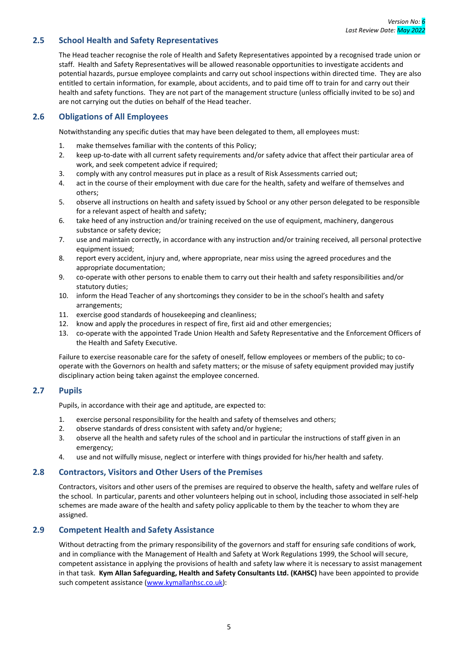## <span id="page-8-0"></span>**2.5 School Health and Safety Representatives**

The Head teacher recognise the role of Health and Safety Representatives appointed by a recognised trade union or staff. Health and Safety Representatives will be allowed reasonable opportunities to investigate accidents and potential hazards, pursue employee complaints and carry out school inspections within directed time. They are also entitled to certain information, for example, about accidents, and to paid time off to train for and carry out their health and safety functions. They are not part of the management structure (unless officially invited to be so) and are not carrying out the duties on behalf of the Head teacher.

## <span id="page-8-1"></span>**2.6 Obligations of All Employees**

Notwithstanding any specific duties that may have been delegated to them, all employees must:

- 1. make themselves familiar with the contents of this Policy;
- 2. keep up-to-date with all current safety requirements and/or safety advice that affect their particular area of work, and seek competent advice if required;
- 3. comply with any control measures put in place as a result of Risk Assessments carried out;
- 4. act in the course of their employment with due care for the health, safety and welfare of themselves and others;
- 5. observe all instructions on health and safety issued by School or any other person delegated to be responsible for a relevant aspect of health and safety;
- 6. take heed of any instruction and/or training received on the use of equipment, machinery, dangerous substance or safety device;
- 7. use and maintain correctly, in accordance with any instruction and/or training received, all personal protective equipment issued;
- 8. report every accident, injury and, where appropriate, near miss using the agreed procedures and the appropriate documentation;
- 9. co-operate with other persons to enable them to carry out their health and safety responsibilities and/or statutory duties;
- 10. inform the Head Teacher of any shortcomings they consider to be in the school's health and safety arrangements;
- 11. exercise good standards of housekeeping and cleanliness;
- 12. know and apply the procedures in respect of fire, first aid and other emergencies;
- 13. co-operate with the appointed Trade Union Health and Safety Representative and the Enforcement Officers of the Health and Safety Executive.

Failure to exercise reasonable care for the safety of oneself, fellow employees or members of the public; to cooperate with the Governors on health and safety matters; or the misuse of safety equipment provided may justify disciplinary action being taken against the employee concerned.

## <span id="page-8-2"></span>**2.7 Pupils**

Pupils, in accordance with their age and aptitude, are expected to:

- 1. exercise personal responsibility for the health and safety of themselves and others;
- 2. observe standards of dress consistent with safety and/or hygiene;
- 3. observe all the health and safety rules of the school and in particular the instructions of staff given in an emergency;
- 4. use and not wilfully misuse, neglect or interfere with things provided for his/her health and safety.

## <span id="page-8-3"></span>**2.8 Contractors, Visitors and Other Users of the Premises**

Contractors, visitors and other users of the premises are required to observe the health, safety and welfare rules of the school. In particular, parents and other volunteers helping out in school, including those associated in self-help schemes are made aware of the health and safety policy applicable to them by the teacher to whom they are assigned.

## <span id="page-8-4"></span>**2.9 Competent Health and Safety Assistance**

Without detracting from the primary responsibility of the governors and staff for ensuring safe conditions of work, and in compliance with the Management of Health and Safety at Work Regulations 1999, the School will secure, competent assistance in applying the provisions of health and safety law where it is necessary to assist management in that task. **Kym Allan Safeguarding, Health and Safety Consultants Ltd. (KAHSC)** have been appointed to provide such competent assistance [\(www.kymallanhsc.co.uk\)](http://www.kymallanhsc.co.uk/):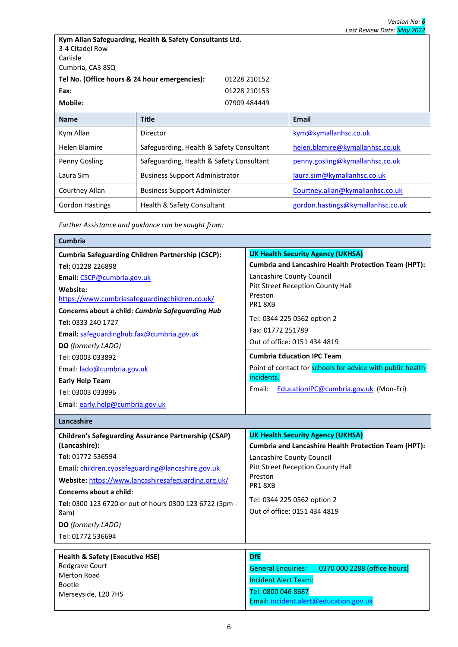| Kym Allan Safeguarding, Health & Safety Consultants Ltd.<br>3-4 Citadel Row<br>Carlisle<br>Cumbria, CA3 8SQ |                                          |                                   |  |
|-------------------------------------------------------------------------------------------------------------|------------------------------------------|-----------------------------------|--|
| Tel No. (Office hours & 24 hour emergencies):                                                               | 01228 210152                             |                                   |  |
| Fax:                                                                                                        | 01228 210153                             |                                   |  |
| Mobile:                                                                                                     | 07909 484449                             |                                   |  |
| <b>Name</b>                                                                                                 | <b>Title</b>                             | <b>Email</b>                      |  |
| Kym Allan                                                                                                   | Director                                 | kym@kymallanhsc.co.uk             |  |
| Helen Blamire                                                                                               | Safeguarding, Health & Safety Consultant | helen.blamire@kymallanhsc.co.uk   |  |
| Penny Gosling                                                                                               | Safeguarding, Health & Safety Consultant | penny.gosling@kymallanhsc.co.uk   |  |
| Laura Sim                                                                                                   | <b>Business Support Administrator</b>    | laura.sim@kymallanhsc.co.uk       |  |
| Courtney Allan                                                                                              | <b>Business Support Administer</b>       | Courtney.allan@kymallanhsc.co.uk  |  |
| <b>Gordon Hastings</b><br>Health & Safety Consultant                                                        |                                          | gordon.hastings@kymallanhsc.co.uk |  |

*Further Assistance and guidance can be sought from:*

| <b>Cumbria</b>                                              |                                                             |  |  |
|-------------------------------------------------------------|-------------------------------------------------------------|--|--|
| <b>Cumbria Safeguarding Children Partnership (CSCP):</b>    | <b>UK Health Security Agency (UKHSA)</b>                    |  |  |
| Tel: 01228 226898                                           | <b>Cumbria and Lancashire Health Protection Team (HPT):</b> |  |  |
| Email: CSCP@cumbria.gov.uk                                  | Lancashire County Council                                   |  |  |
| Website:                                                    | Pitt Street Reception County Hall                           |  |  |
| https://www.cumbriasafeguardingchildren.co.uk/              | Preston<br>PR18XB                                           |  |  |
| Concerns about a child: Cumbria Safeguarding Hub            |                                                             |  |  |
| Tel: 0333 240 1727                                          | Tel: 0344 225 0562 option 2                                 |  |  |
| Email: safeguardinghub.fax@cumbria.gov.uk                   | Fax: 01772 251789                                           |  |  |
| DO (formerly LADO)                                          | Out of office: 0151 434 4819                                |  |  |
| Tel: 03003 033892                                           | <b>Cumbria Education IPC Team</b>                           |  |  |
| Email: lado@cumbria.gov.uk                                  | Point of contact for schools for advice with public health  |  |  |
| <b>Early Help Team</b>                                      | incidents.                                                  |  |  |
| Tel: 03003 033896                                           | Email:<br>EducationIPC@cumbria.gov.uk (Mon-Fri)             |  |  |
| Email: early.help@cumbria.gov.uk                            |                                                             |  |  |
| Lancashire                                                  |                                                             |  |  |
| <b>Children's Safeguarding Assurance Partnership (CSAP)</b> | <b>UK Health Security Agency (UKHSA)</b>                    |  |  |
| (Lancashire):                                               | <b>Cumbria and Lancashire Health Protection Team (HPT):</b> |  |  |
| Tel: 01772 536594                                           | Lancashire County Council                                   |  |  |
| Email: children.cypsafeguarding@lancashire.gov.uk           | Pitt Street Reception County Hall                           |  |  |
| Website: https://www.lancashiresafeguarding.org.uk/         | Preston<br>PR18XB                                           |  |  |
| Concerns about a child:                                     |                                                             |  |  |
| Tel: 0300 123 6720 or out of hours 0300 123 6722 (5pm -     | Tel: 0344 225 0562 option 2                                 |  |  |
| 8am)                                                        | Out of office: 0151 434 4819                                |  |  |
| DO (formerly LADO)                                          |                                                             |  |  |
| Tel: 01772 536694                                           |                                                             |  |  |
| <b>Health &amp; Safety (Executive HSE)</b>                  | <b>DfE</b>                                                  |  |  |
| Redgrave Court                                              |                                                             |  |  |
|                                                             | 0370 000 2288 (office hours)<br><b>General Enquiries:</b>   |  |  |
| <b>Merton Road</b>                                          | <b>Incident Alert Team:</b>                                 |  |  |
| Bootle<br>Merseyside, L20 7HS                               | Tel: 0800 046 8687                                          |  |  |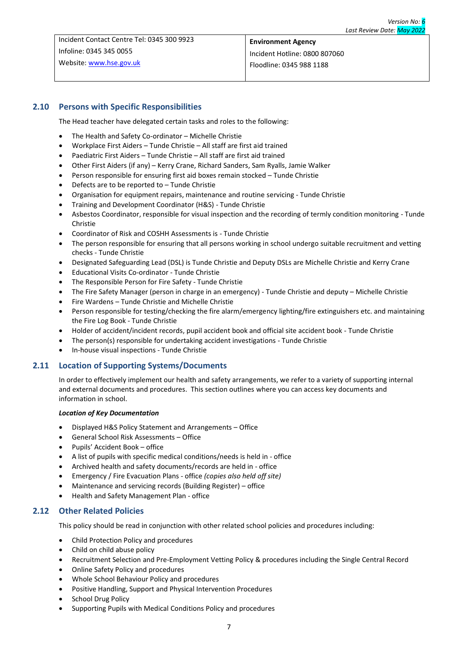Incident Contact Centre Tel: 0345 300 9923 Infoline: 0345 345 0055 Website: [www.hse.gov.uk](http://www.hse.gov.uk/)

## **Environment Agency** Incident Hotline: 0800 807060 Floodline: 0345 988 1188

## <span id="page-10-0"></span>**2.10 Persons with Specific Responsibilities**

The Head teacher have delegated certain tasks and roles to the following:

- The Health and Safety Co-ordinator Michelle Christie
- Workplace First Aiders Tunde Christie All staff are first aid trained
- Paediatric First Aiders Tunde Christie All staff are first aid trained
- Other First Aiders (if any) Kerry Crane, Richard Sanders, Sam Ryalls, Jamie Walker
- Person responsible for ensuring first aid boxes remain stocked Tunde Christie
- Defects are to be reported to  $-$  Tunde Christie
- Organisation for equipment repairs, maintenance and routine servicing Tunde Christie
- Training and Development Coordinator (H&S) Tunde Christie
- Asbestos Coordinator, responsible for visual inspection and the recording of termly condition monitoring Tunde Christie
- Coordinator of Risk and COSHH Assessments is Tunde Christie
- The person responsible for ensuring that all persons working in school undergo suitable recruitment and vetting checks - Tunde Christie
- Designated Safeguarding Lead (DSL) is Tunde Christie and Deputy DSLs are Michelle Christie and Kerry Crane
- Educational Visits Co-ordinator Tunde Christie
- The Responsible Person for Fire Safety Tunde Christie
- The Fire Safety Manager (person in charge in an emergency) Tunde Christie and deputy Michelle Christie
- Fire Wardens Tunde Christie and Michelle Christie
- Person responsible for testing/checking the fire alarm/emergency lighting/fire extinguishers etc. and maintaining the Fire Log Book - Tunde Christie
- Holder of accident/incident records, pupil accident book and official site accident book Tunde Christie
- The person(s) responsible for undertaking accident investigations Tunde Christie
- In-house visual inspections Tunde Christie

#### <span id="page-10-1"></span>**2.11 Location of Supporting Systems/Documents**

In order to effectively implement our health and safety arrangements, we refer to a variety of supporting internal and external documents and procedures. This section outlines where you can access key documents and information in school.

#### *Location of Key Documentation*

- Displayed H&S Policy Statement and Arrangements Office
- General School Risk Assessments Office
- Pupils' Accident Book office
- A list of pupils with specific medical conditions/needs is held in office
- Archived health and safety documents/records are held in office
- Emergency / Fire Evacuation Plans office *(copies also held off site)*
- Maintenance and servicing records (Building Register) office
- Health and Safety Management Plan office

## <span id="page-10-2"></span>**2.12 Other Related Policies**

This policy should be read in conjunction with other related school policies and procedures including:

- Child Protection Policy and procedures
- Child on child abuse policy
- Recruitment Selection and Pre-Employment Vetting Policy & procedures including the Single Central Record
- Online Safety Policy and procedures
- Whole School Behaviour Policy and procedures
- Positive Handling, Support and Physical Intervention Procedures
- School Drug Policy
- Supporting Pupils with Medical Conditions Policy and procedures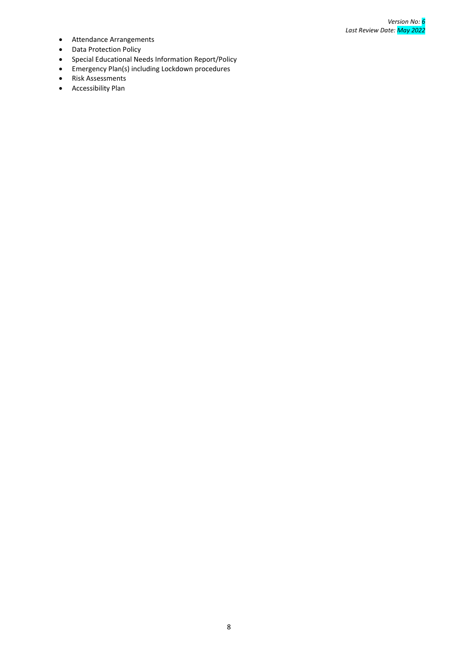- Attendance Arrangements
- Data Protection Policy
- Special Educational Needs Information Report/Policy
- Emergency Plan(s) including Lockdown procedures
- Risk Assessments
- Accessibility Plan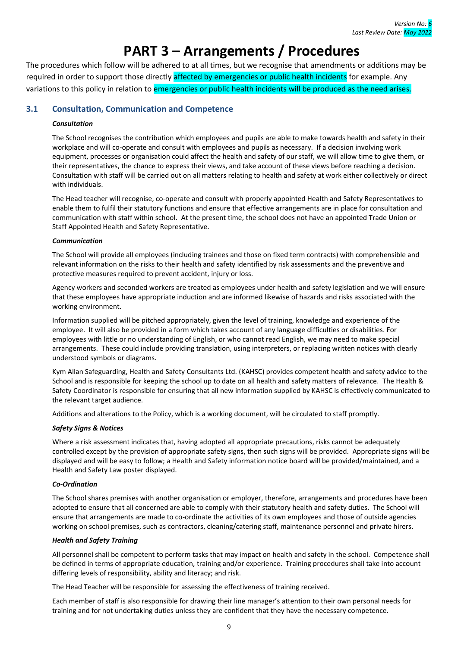## **3. PART 3 – Arrangements / Procedures**

<span id="page-12-0"></span>The procedures which follow will be adhered to at all times, but we recognise that amendments or additions may be required in order to support those directly affected by emergencies or public health incidents for example. Any variations to this policy in relation to emergencies or public health incidents will be produced as the need arises.

## <span id="page-12-1"></span>**3.1 Consultation, Communication and Competence**

## *Consultation*

The School recognises the contribution which employees and pupils are able to make towards health and safety in their workplace and will co-operate and consult with employees and pupils as necessary. If a decision involving work equipment, processes or organisation could affect the health and safety of our staff, we will allow time to give them, or their representatives, the chance to express their views, and take account of these views before reaching a decision. Consultation with staff will be carried out on all matters relating to health and safety at work either collectively or direct with individuals.

The Head teacher will recognise, co-operate and consult with properly appointed Health and Safety Representatives to enable them to fulfil their statutory functions and ensure that effective arrangements are in place for consultation and communication with staff within school. At the present time, the school does not have an appointed Trade Union or Staff Appointed Health and Safety Representative.

#### *Communication*

The School will provide all employees (including trainees and those on fixed term contracts) with comprehensible and relevant information on the risks to their health and safety identified by risk assessments and the preventive and protective measures required to prevent accident, injury or loss.

Agency workers and seconded workers are treated as employees under health and safety legislation and we will ensure that these employees have appropriate induction and are informed likewise of hazards and risks associated with the working environment.

Information supplied will be pitched appropriately, given the level of training, knowledge and experience of the employee. It will also be provided in a form which takes account of any language difficulties or disabilities. For employees with little or no understanding of English, or who cannot read English, we may need to make special arrangements. These could include providing translation, using interpreters, or replacing written notices with clearly understood symbols or diagrams.

Kym Allan Safeguarding, Health and Safety Consultants Ltd. (KAHSC) provides competent health and safety advice to the School and is responsible for keeping the school up to date on all health and safety matters of relevance. The Health & Safety Coordinator is responsible for ensuring that all new information supplied by KAHSC is effectively communicated to the relevant target audience.

Additions and alterations to the Policy, which is a working document, will be circulated to staff promptly.

## *Safety Signs & Notices*

Where a risk assessment indicates that, having adopted all appropriate precautions, risks cannot be adequately controlled except by the provision of appropriate safety signs, then such signs will be provided. Appropriate signs will be displayed and will be easy to follow; a Health and Safety information notice board will be provided/maintained, and a Health and Safety Law poster displayed.

## *Co-Ordination*

The School shares premises with another organisation or employer, therefore, arrangements and procedures have been adopted to ensure that all concerned are able to comply with their statutory health and safety duties. The School will ensure that arrangements are made to co-ordinate the activities of its own employees and those of outside agencies working on school premises, such as contractors, cleaning/catering staff, maintenance personnel and private hirers.

#### *Health and Safety Training*

All personnel shall be competent to perform tasks that may impact on health and safety in the school. Competence shall be defined in terms of appropriate education, training and/or experience. Training procedures shall take into account differing levels of responsibility, ability and literacy; and risk.

The Head Teacher will be responsible for assessing the effectiveness of training received.

Each member of staff is also responsible for drawing their line manager's attention to their own personal needs for training and for not undertaking duties unless they are confident that they have the necessary competence.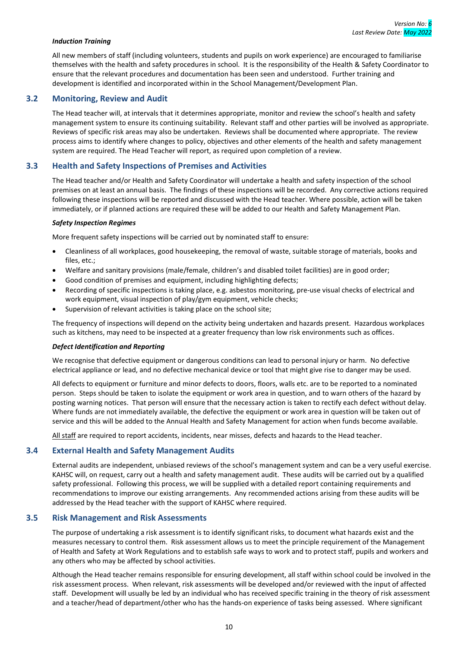#### *Induction Training*

All new members of staff (including volunteers, students and pupils on work experience) are encouraged to familiarise themselves with the health and safety procedures in school. It is the responsibility of the Health & Safety Coordinator to ensure that the relevant procedures and documentation has been seen and understood. Further training and development is identified and incorporated within in the School Management/Development Plan.

## <span id="page-13-0"></span>**3.2 Monitoring, Review and Audit**

The Head teacher will, at intervals that it determines appropriate, monitor and review the school's health and safety management system to ensure its continuing suitability. Relevant staff and other parties will be involved as appropriate. Reviews of specific risk areas may also be undertaken. Reviews shall be documented where appropriate. The review process aims to identify where changes to policy, objectives and other elements of the health and safety management system are required. The Head Teacher will report, as required upon completion of a review.

#### <span id="page-13-1"></span>**3.3 Health and Safety Inspections of Premises and Activities**

The Head teacher and/or Health and Safety Coordinator will undertake a health and safety inspection of the school premises on at least an annual basis. The findings of these inspections will be recorded. Any corrective actions required following these inspections will be reported and discussed with the Head teacher. Where possible, action will be taken immediately, or if planned actions are required these will be added to our Health and Safety Management Plan.

#### *Safety Inspection Regimes*

More frequent safety inspections will be carried out by nominated staff to ensure:

- Cleanliness of all workplaces, good housekeeping, the removal of waste, suitable storage of materials, books and files, etc.;
- Welfare and sanitary provisions (male/female, children's and disabled toilet facilities) are in good order;
- Good condition of premises and equipment, including highlighting defects;
- Recording of specific inspections is taking place, e.g. asbestos monitoring, pre-use visual checks of electrical and work equipment, visual inspection of play/gym equipment, vehicle checks;
- Supervision of relevant activities is taking place on the school site;

The frequency of inspections will depend on the activity being undertaken and hazards present. Hazardous workplaces such as kitchens, may need to be inspected at a greater frequency than low risk environments such as offices.

#### *Defect Identification and Reporting*

We recognise that defective equipment or dangerous conditions can lead to personal injury or harm. No defective electrical appliance or lead, and no defective mechanical device or tool that might give rise to danger may be used.

All defects to equipment or furniture and minor defects to doors, floors, walls etc. are to be reported to a nominated person. Steps should be taken to isolate the equipment or work area in question, and to warn others of the hazard by posting warning notices. That person will ensure that the necessary action is taken to rectify each defect without delay. Where funds are not immediately available, the defective the equipment or work area in question will be taken out of service and this will be added to the Annual Health and Safety Management for action when funds become available.

All staff are required to report accidents, incidents, near misses, defects and hazards to the Head teacher.

#### <span id="page-13-2"></span>**3.4 External Health and Safety Management Audits**

External audits are independent, unbiased reviews of the school's management system and can be a very useful exercise. KAHSC will, on request, carry out a health and safety management audit. These audits will be carried out by a qualified safety professional. Following this process, we will be supplied with a detailed report containing requirements and recommendations to improve our existing arrangements. Any recommended actions arising from these audits will be addressed by the Head teacher with the support of KAHSC where required.

#### <span id="page-13-3"></span>**3.5 Risk Management and Risk Assessments**

The purpose of undertaking a risk assessment is to identify significant risks, to document what hazards exist and the measures necessary to control them. Risk assessment allows us to meet the principle requirement of the Management of Health and Safety at Work Regulations and to establish safe ways to work and to protect staff, pupils and workers and any others who may be affected by school activities.

Although the Head teacher remains responsible for ensuring development, all staff within school could be involved in the risk assessment process. When relevant, risk assessments will be developed and/or reviewed with the input of affected staff. Development will usually be led by an individual who has received specific training in the theory of risk assessment and a teacher/head of department/other who has the hands-on experience of tasks being assessed. Where significant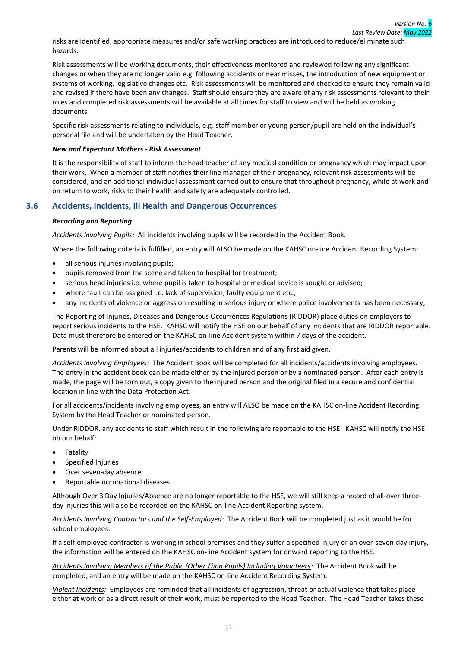risks are identified, appropriate measures and/or safe working practices are introduced to reduce/eliminate such hazards.

Risk assessments will be working documents, their effectiveness monitored and reviewed following any significant changes or when they are no longer valid e.g. following accidents or near misses, the introduction of new equipment or systems of working, legislative changes etc. Risk assessments will be monitored and checked to ensure they remain valid and revised if there have been any changes. Staff should ensure they are aware of any risk assessments relevant to their roles and completed risk assessments will be available at all times for staff to view and will be held as working documents.

Specific risk assessments relating to individuals, e.g. staff member or young person/pupil are held on the individual's personal file and will be undertaken by the Head Teacher.

#### *New and Expectant Mothers - Risk Assessment*

It is the responsibility of staff to inform the head teacher of any medical condition or pregnancy which may impact upon their work. When a member of staff notifies their line manager of their pregnancy, relevant risk assessments will be considered, and an additional individual assessment carried out to ensure that throughout pregnancy, while at work and on return to work, risks to their health and safety are adequately controlled.

## <span id="page-14-0"></span>**3.6 Accidents, Incidents, Ill Health and Dangerous Occurrences**

#### *Recording and Reporting*

*Accidents Involving Pupils:* All incidents involving pupils will be recorded in the Accident Book.

Where the following criteria is fulfilled, an entry will ALSO be made on the KAHSC on-line Accident Recording System:

- all serious injuries involving pupils:
- pupils removed from the scene and taken to hospital for treatment;
- serious head injuries i.e. where pupil is taken to hospital or medical advice is sought or advised;
- where fault can be assigned i.e. lack of supervision, faulty equipment etc.;
- any incidents of violence or aggression resulting in serious injury or where police involvements has been necessary;

The Reporting of Injuries, Diseases and Dangerous Occurrences Regulations (RIDDOR) place duties on employers to report serious incidents to the HSE. KAHSC will notify the HSE on our behalf of any incidents that are RIDDOR reportable. Data must therefore be entered on the KAHSC on-line Accident system within 7 days of the accident.

Parents will be informed about all injuries/accidents to children and of any first aid given.

*Accidents Involving Employees:* The Accident Book will be completed for all incidents/accidents involving employees. The entry in the accident book can be made either by the injured person or by a nominated person. After each entry is made, the page will be torn out, a copy given to the injured person and the original filed in a secure and confidential location in line with the Data Protection Act.

For all accidents/incidents involving employees, an entry will ALSO be made on the KAHSC on-line Accident Recording System by the Head Teacher or nominated person.

Under RIDDOR, any accidents to staff which result in the following are reportable to the HSE. KAHSC will notify the HSE on our behalf:

- **Fatality**
- Specified Injuries
- Over seven-day absence
- Reportable occupational diseases

Although Over 3 Day Injuries/Absence are no longer reportable to the HSE, we will still keep a record of all-over threeday injuries this will also be recorded on the KAHSC on-line Accident Reporting system.

*Accidents Involving Contractors and the Self-Employed:* The Accident Book will be completed just as it would be for school employees.

If a self-employed contractor is working in school premises and they suffer a specified injury or an over-seven-day injury, the information will be entered on the KAHSC on-line Accident system for onward reporting to the HSE.

*Accidents Involving Members of the Public (Other Than Pupils) Including Volunteers:* The Accident Book will be completed, and an entry will be made on the KAHSC on-line Accident Recording System.

*Violent Incidents:* Employees are reminded that all incidents of aggression, threat or actual violence that takes place either at work or as a direct result of their work, must be reported to the Head Teacher. The Head Teacher takes these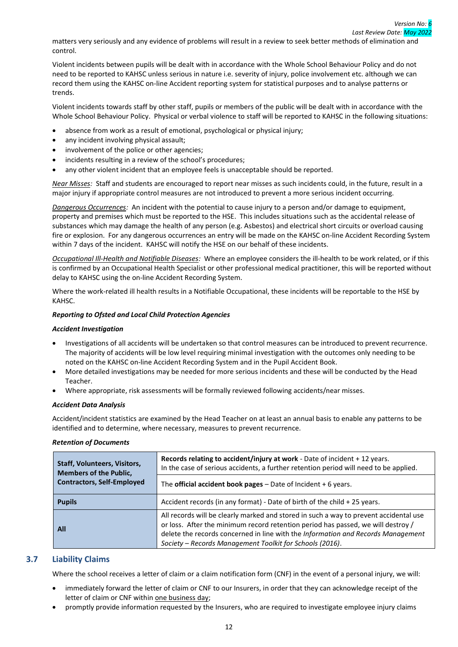matters very seriously and any evidence of problems will result in a review to seek better methods of elimination and control.

Violent incidents between pupils will be dealt with in accordance with the Whole School Behaviour Policy and do not need to be reported to KAHSC unless serious in nature i.e. severity of injury, police involvement etc. although we can record them using the KAHSC on-line Accident reporting system for statistical purposes and to analyse patterns or trends.

Violent incidents towards staff by other staff, pupils or members of the public will be dealt with in accordance with the Whole School Behaviour Policy. Physical or verbal violence to staff will be reported to KAHSC in the following situations:

- absence from work as a result of emotional, psychological or physical injury;
- any incident involving physical assault;
- involvement of the police or other agencies;
- incidents resulting in a review of the school's procedures;
- any other violent incident that an employee feels is unacceptable should be reported.

*Near Misses:* Staff and students are encouraged to report near misses as such incidents could, in the future, result in a major injury if appropriate control measures are not introduced to prevent a more serious incident occurring.

*Dangerous Occurrences:* An incident with the potential to cause injury to a person and/or damage to equipment, property and premises which must be reported to the HSE. This includes situations such as the accidental release of substances which may damage the health of any person (e.g. Asbestos) and electrical short circuits or overload causing fire or explosion. For any dangerous occurrences an entry will be made on the KAHSC on-line Accident Recording System within 7 days of the incident. KAHSC will notify the HSE on our behalf of these incidents.

*Occupational Ill-Health and Notifiable Diseases:* Where an employee considers the ill-health to be work related, or if this is confirmed by an Occupational Health Specialist or other professional medical practitioner, this will be reported without delay to KAHSC using the on-line Accident Recording System.

Where the work-related ill health results in a Notifiable Occupational, these incidents will be reportable to the HSE by KAHSC.

#### *Reporting to Ofsted and Local Child Protection Agencies*

#### *Accident Investigation*

- Investigations of all accidents will be undertaken so that control measures can be introduced to prevent recurrence. The majority of accidents will be low level requiring minimal investigation with the outcomes only needing to be noted on the KAHSC on-line Accident Recording System and in the Pupil Accident Book.
- More detailed investigations may be needed for more serious incidents and these will be conducted by the Head Teacher.
- Where appropriate, risk assessments will be formally reviewed following accidents/near misses.

#### *Accident Data Analysis*

Accident/incident statistics are examined by the Head Teacher on at least an annual basis to enable any patterns to be identified and to determine, where necessary, measures to prevent recurrence.

#### *Retention of Documents*

| <b>Staff, Volunteers, Visitors,</b><br><b>Members of the Public,</b> | Records relating to accident/injury at work - Date of incident + 12 years.<br>In the case of serious accidents, a further retention period will need to be applied.                                                                                                                                                       |  |
|----------------------------------------------------------------------|---------------------------------------------------------------------------------------------------------------------------------------------------------------------------------------------------------------------------------------------------------------------------------------------------------------------------|--|
| <b>Contractors, Self-Employed</b>                                    | The official accident book pages $-$ Date of Incident $+$ 6 years.                                                                                                                                                                                                                                                        |  |
| <b>Pupils</b>                                                        | Accident records (in any format) - Date of birth of the child + 25 years.                                                                                                                                                                                                                                                 |  |
| All                                                                  | All records will be clearly marked and stored in such a way to prevent accidental use<br>or loss. After the minimum record retention period has passed, we will destroy /<br>delete the records concerned in line with the Information and Records Management<br>Society - Records Management Toolkit for Schools (2016). |  |

## <span id="page-15-0"></span>**3.7 Liability Claims**

Where the school receives a letter of claim or a claim notification form (CNF) in the event of a personal injury, we will:

- immediately forward the letter of claim or CNF to our Insurers, in order that they can acknowledge receipt of the letter of claim or CNF within one business day;
- promptly provide information requested by the Insurers, who are required to investigate employee injury claims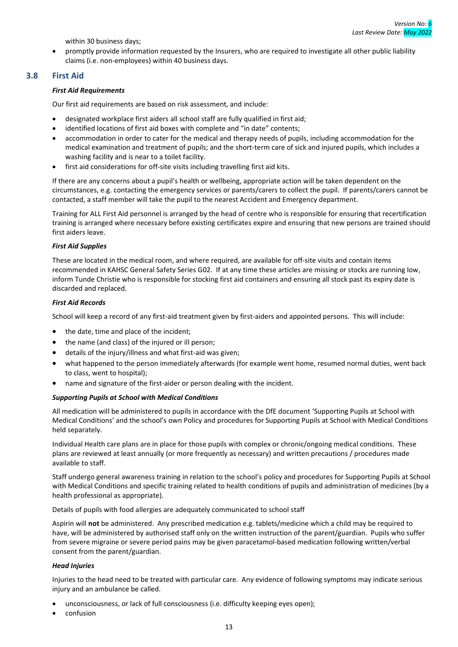within 30 business days;

• promptly provide information requested by the Insurers, who are required to investigate all other public liability claims (i.e. non-employees) within 40 business days.

## <span id="page-16-0"></span>**3.8 First Aid**

#### *First Aid Requirements*

Our first aid requirements are based on risk assessment, and include:

- designated workplace first aiders all school staff are fully qualified in first aid;
- identified locations of first aid boxes with complete and "in date" contents;
- accommodation in order to cater for the medical and therapy needs of pupils, including accommodation for the medical examination and treatment of pupils; and the short-term care of sick and injured pupils, which includes a washing facility and is near to a toilet facility.
- first aid considerations for off-site visits including travelling first aid kits.

If there are any concerns about a pupil's health or wellbeing, appropriate action will be taken dependent on the circumstances, e.g. contacting the emergency services or parents/carers to collect the pupil. If parents/carers cannot be contacted, a staff member will take the pupil to the nearest Accident and Emergency department.

Training for ALL First Aid personnel is arranged by the head of centre who is responsible for ensuring that recertification training is arranged where necessary before existing certificates expire and ensuring that new persons are trained should first aiders leave.

#### *First Aid Supplies*

These are located in the medical room, and where required, are available for off-site visits and contain items recommended in KAHSC General Safety Series G02. If at any time these articles are missing or stocks are running low, inform Tunde Christie who is responsible for stocking first aid containers and ensuring all stock past its expiry date is discarded and replaced.

#### *First Aid Records*

School will keep a record of any first-aid treatment given by first-aiders and appointed persons. This will include:

- the date, time and place of the incident;
- the name (and class) of the injured or ill person;
- details of the injury/illness and what first-aid was given;
- what happened to the person immediately afterwards (for example went home, resumed normal duties, went back to class, went to hospital);
- name and signature of the first-aider or person dealing with the incident.

#### *Supporting Pupils at School with Medical Conditions*

All medication will be administered to pupils in accordance with the DfE document 'Supporting Pupils at School with Medical Conditions' and the school's own Policy and procedures for Supporting Pupils at School with Medical Conditions held separately.

Individual Health care plans are in place for those pupils with complex or chronic/ongoing medical conditions. These plans are reviewed at least annually (or more frequently as necessary) and written precautions / procedures made available to staff.

Staff undergo general awareness training in relation to the school's policy and procedures for Supporting Pupils at School with Medical Conditions and specific training related to health conditions of pupils and administration of medicines (by a health professional as appropriate).

Details of pupils with food allergies are adequately communicated to school staff

Aspirin will **not** be administered. Any prescribed medication e.g. tablets/medicine which a child may be required to have, will be administered by authorised staff only on the written instruction of the parent/guardian. Pupils who suffer from severe migraine or severe period pains may be given paracetamol-based medication following written/verbal consent from the parent/guardian.

#### *Head Injuries*

Injuries to the head need to be treated with particular care. Any evidence of following symptoms may indicate serious injury and an ambulance be called.

- unconsciousness, or lack of full consciousness (i.e. difficulty keeping eyes open);
- confusion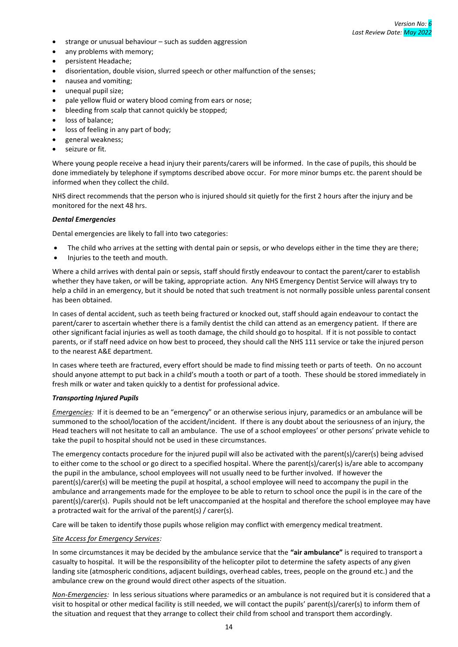- strange or unusual behaviour such as sudden aggression
- any problems with memory;
- persistent Headache;
- disorientation, double vision, slurred speech or other malfunction of the senses;
- nausea and vomiting;
- unequal pupil size;
- pale yellow fluid or watery blood coming from ears or nose;
- bleeding from scalp that cannot quickly be stopped;
- loss of balance;
- loss of feeling in any part of body;
- general weakness;
- seizure or fit.

Where young people receive a head injury their parents/carers will be informed. In the case of pupils, this should be done immediately by telephone if symptoms described above occur. For more minor bumps etc. the parent should be informed when they collect the child.

NHS direct recommends that the person who is injured should sit quietly for the first 2 hours after the injury and be monitored for the next 48 hrs.

#### *Dental Emergencies*

Dental emergencies are likely to fall into two categories:

- The child who arrives at the setting with dental pain or sepsis, or who develops either in the time they are there;
- Injuries to the teeth and mouth.

Where a child arrives with dental pain or sepsis, staff should firstly endeavour to contact the parent/carer to establish whether they have taken, or will be taking, appropriate action. Any NHS Emergency Dentist Service will always try to help a child in an emergency, but it should be noted that such treatment is not normally possible unless parental consent has been obtained.

In cases of dental accident, such as teeth being fractured or knocked out, staff should again endeavour to contact the parent/carer to ascertain whether there is a family dentist the child can attend as an emergency patient. If there are other significant facial injuries as well as tooth damage, the child should go to hospital. If it is not possible to contact parents, or if staff need advice on how best to proceed, they should call the NHS 111 service or take the injured person to the nearest A&E department.

In cases where teeth are fractured, every effort should be made to find missing teeth or parts of teeth. On no account should anyone attempt to put back in a child's mouth a tooth or part of a tooth. These should be stored immediately in fresh milk or water and taken quickly to a dentist for professional advice.

#### *Transporting Injured Pupils*

*Emergencies:* If it is deemed to be an "emergency" or an otherwise serious injury, paramedics or an ambulance will be summoned to the school/location of the accident/incident. If there is any doubt about the seriousness of an injury, the Head teachers will not hesitate to call an ambulance. The use of a school employees' or other persons' private vehicle to take the pupil to hospital should not be used in these circumstances.

The emergency contacts procedure for the injured pupil will also be activated with the parent(s)/carer(s) being advised to either come to the school or go direct to a specified hospital. Where the parent(s)/carer(s) is/are able to accompany the pupil in the ambulance, school employees will not usually need to be further involved. If however the parent(s)/carer(s) will be meeting the pupil at hospital, a school employee will need to accompany the pupil in the ambulance and arrangements made for the employee to be able to return to school once the pupil is in the care of the parent(s)/carer(s). Pupils should not be left unaccompanied at the hospital and therefore the school employee may have a protracted wait for the arrival of the parent(s) / carer(s).

Care will be taken to identify those pupils whose religion may conflict with emergency medical treatment.

#### *Site Access for Emergency Services:*

In some circumstances it may be decided by the ambulance service that the **"air ambulance"** is required to transport a casualty to hospital. It will be the responsibility of the helicopter pilot to determine the safety aspects of any given landing site (atmospheric conditions, adjacent buildings, overhead cables, trees, people on the ground etc.) and the ambulance crew on the ground would direct other aspects of the situation.

*Non-Emergencies:* In less serious situations where paramedics or an ambulance is not required but it is considered that a visit to hospital or other medical facility is still needed, we will contact the pupils' parent(s)/carer(s) to inform them of the situation and request that they arrange to collect their child from school and transport them accordingly.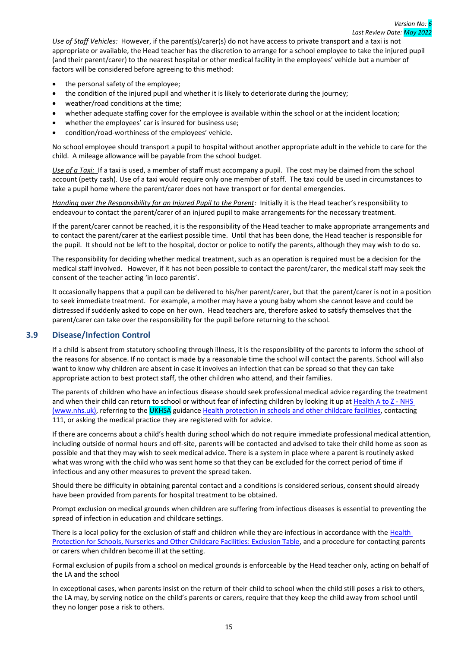*Use of Staff Vehicles:* However, if the parent(s)/carer(s) do not have access to private transport and a taxi is not appropriate or available, the Head teacher has the discretion to arrange for a school employee to take the injured pupil (and their parent/carer) to the nearest hospital or other medical facility in the employees' vehicle but a number of factors will be considered before agreeing to this method:

- the personal safety of the employee;
- the condition of the injured pupil and whether it is likely to deteriorate during the journey;
- weather/road conditions at the time;
- whether adequate staffing cover for the employee is available within the school or at the incident location;
- whether the employees' car is insured for business use;
- condition/road-worthiness of the employees' vehicle.

No school employee should transport a pupil to hospital without another appropriate adult in the vehicle to care for the child. A mileage allowance will be payable from the school budget.

*Use of a Taxi:* If a taxi is used, a member of staff must accompany a pupil. The cost may be claimed from the school account (petty cash). Use of a taxi would require only one member of staff. The taxi could be used in circumstances to take a pupil home where the parent/carer does not have transport or for dental emergencies.

*Handing over the Responsibility for an Injured Pupil to the Parent:* Initially it is the Head teacher's responsibility to endeavour to contact the parent/carer of an injured pupil to make arrangements for the necessary treatment.

If the parent/carer cannot be reached, it is the responsibility of the Head teacher to make appropriate arrangements and to contact the parent/carer at the earliest possible time. Until that has been done, the Head teacher is responsible for the pupil. It should not be left to the hospital, doctor or police to notify the parents, although they may wish to do so.

The responsibility for deciding whether medical treatment, such as an operation is required must be a decision for the medical staff involved. However, if it has not been possible to contact the parent/carer, the medical staff may seek the consent of the teacher acting 'in loco parentis'.

It occasionally happens that a pupil can be delivered to his/her parent/carer, but that the parent/carer is not in a position to seek immediate treatment. For example, a mother may have a young baby whom she cannot leave and could be distressed if suddenly asked to cope on her own. Head teachers are, therefore asked to satisfy themselves that the parent/carer can take over the responsibility for the pupil before returning to the school.

## <span id="page-18-0"></span>**3.9 Disease/Infection Control**

If a child is absent from statutory schooling through illness, it is the responsibility of the parents to inform the school of the reasons for absence. If no contact is made by a reasonable time the school will contact the parents. School will also want to know why children are absent in case it involves an infection that can be spread so that they can take appropriate action to best protect staff, the other children who attend, and their families.

The parents of children who have an infectious disease should seek professional medical advice regarding the treatment and when their child can return to school or without fear of infecting children by looking it up at [Health A to Z -](https://www.nhs.uk/conditions/) NHS [\(www.nhs.uk\),](https://www.nhs.uk/conditions/) referring to the UKHSA guidanc[e Health protection in schools and other childcare facilities,](https://www.gov.uk/government/publications/health-protection-in-schools-and-other-childcare-facilities) contacting 111, or asking the medical practice they are registered with for advice.

If there are concerns about a child's health during school which do not require immediate professional medical attention, including outside of normal hours and off-site, parents will be contacted and advised to take their child home as soon as possible and that they may wish to seek medical advice. There is a system in place where a parent is routinely asked what was wrong with the child who was sent home so that they can be excluded for the correct period of time if infectious and any other measures to prevent the spread taken.

Should there be difficulty in obtaining parental contact and a conditions is considered serious, consent should already have been provided from parents for hospital treatment to be obtained.

Prompt exclusion on medical grounds when children are suffering from infectious diseases is essential to preventing the spread of infection in education and childcare settings.

There is a local policy for the exclusion of staff and children while they are infectious in accordance with the Health [Protection for Schools, Nurseries and Other Childcare Facilities: Exclusion Table,](https://assets.publishing.service.gov.uk/government/uploads/system/uploads/attachment_data/file/789369/Exclusion_table.pdf) and a procedure for contacting parents or carers when children become ill at the setting.

Formal exclusion of pupils from a school on medical grounds is enforceable by the Head teacher only, acting on behalf of the LA and the school

In exceptional cases, when parents insist on the return of their child to school when the child still poses a risk to others, the LA may, by serving notice on the child's parents or carers, require that they keep the child away from school until they no longer pose a risk to others.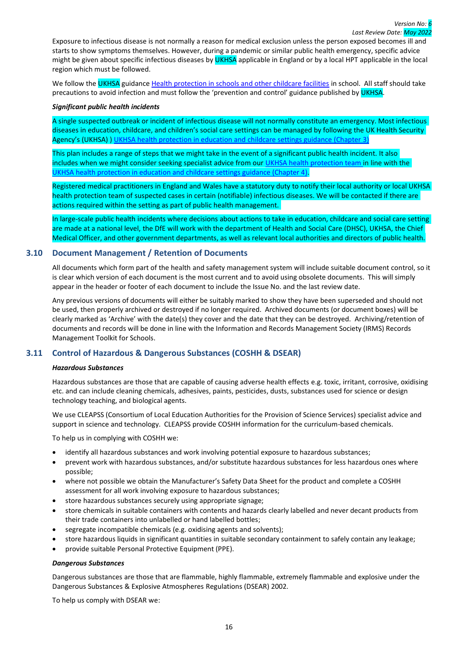Exposure to infectious disease is not normally a reason for medical exclusion unless the person exposed becomes ill and starts to show symptoms themselves. However, during a pandemic or similar public health emergency, specific advice might be given about specific infectious diseases by UKHSA applicable in England or by a local HPT applicable in the local region which must be followed.

We follow the UKHSA guidance [Health protection in schools and other childcare facilities](https://www.gov.uk/government/publications/health-protection-in-schools-and-other-childcare-facilities) in school. All staff should take precautions to avoid infection and must follow [the](http://www.nhsprofessionals.nhs.uk/download/comms/cg1_nhsp_standard_infection_control_precautions_v3.pdf) 'prevention and control' guidance published by UKHSA.

#### *Significant public health incidents*

A single suspected outbreak or incident of infectious disease will not normally constitute an emergency. Most infectious diseases in education, childcare, and children's social care settings can be managed by following the UK Health Security Agency's (UKHSA) ) [UKHSA health protection in education and childcare settings guidance \(Chapter 3\)](https://www.gov.uk/government/publications/health-protection-in-schools-and-other-childcare-facilities/chapter-3-public-health-management-of-specific-infectious-diseases)

This plan includes a range of steps that we might take in the event of a significant public health incident. It also includes when we might consider seeking specialist advice from our [UKHSA health protection team i](https://www.gov.uk/health-protection-team)n line with the [UKHSA health protection in education and childcare settings guidance \(Chapter 4\).](https://www.gov.uk/government/publications/health-protection-in-schools-and-other-childcare-facilities/chapter-4-action-in-the-event-of-an-outbreak-or-incident)

Registered medical practitioners in England and Wales have a statutory duty to notify their local authority or local UKHSA health protection team of suspected cases in certain (notifiable) infectious diseases. We will be contacted if there are actions required within the setting as part of public health management.

In large-scale public health incidents where decisions about actions to take in education, childcare and social care setting are made at a national level, the DfE will work with the department of Health and Social Care (DHSC), UKHSA, the Chief Medical Officer, and other government departments, as well as relevant local authorities and directors of public health.

#### <span id="page-19-0"></span>**3.10 Document Management / Retention of Documents**

All documents which form part of the health and safety management system will include suitable document control, so it is clear which version of each document is the most current and to avoid using obsolete documents. This will simply appear in the header or footer of each document to include the Issue No. and the last review date.

Any previous versions of documents will either be suitably marked to show they have been superseded and should not be used, then properly archived or destroyed if no longer required. Archived documents (or document boxes) will be clearly marked as 'Archive' with the date(s) they cover and the date that they can be destroyed. Archiving/retention of documents and records will be done in line with the Information and Records Management Society (IRMS) Records Management Toolkit for Schools.

## <span id="page-19-1"></span>**3.11 Control of Hazardous & Dangerous Substances (COSHH & DSEAR)**

#### *Hazardous Substances*

Hazardous substances are those that are capable of causing adverse health effects e.g. toxic, irritant, corrosive, oxidising etc. and can include cleaning chemicals, adhesives, paints, pesticides, dusts, substances used for science or design technology teaching, and biological agents.

We use CLEAPSS (Consortium of Local Education Authorities for the Provision of Science Services) specialist advice and support in science and technology. CLEAPSS provide COSHH information for the curriculum-based chemicals.

To help us in complying with COSHH we:

- identify all hazardous substances and work involving potential exposure to hazardous substances;
- prevent work with hazardous substances, and/or substitute hazardous substances for less hazardous ones where possible;
- where not possible we obtain the Manufacturer's Safety Data Sheet for the product and complete a COSHH assessment for all work involving exposure to hazardous substances;
- store hazardous substances securely using appropriate signage;
- store chemicals in suitable containers with contents and hazards clearly labelled and never decant products from their trade containers into unlabelled or hand labelled bottles;
- segregate incompatible chemicals (e.g. oxidising agents and solvents);
- store hazardous liquids in significant quantities in suitable secondary containment to safely contain any leakage;
- provide suitable Personal Protective Equipment (PPE).

#### *Dangerous Substances*

Dangerous substances are those that are flammable, highly flammable, extremely flammable and explosive under the Dangerous Substances & Explosive Atmospheres Regulations (DSEAR) 2002.

To help us comply with DSEAR we: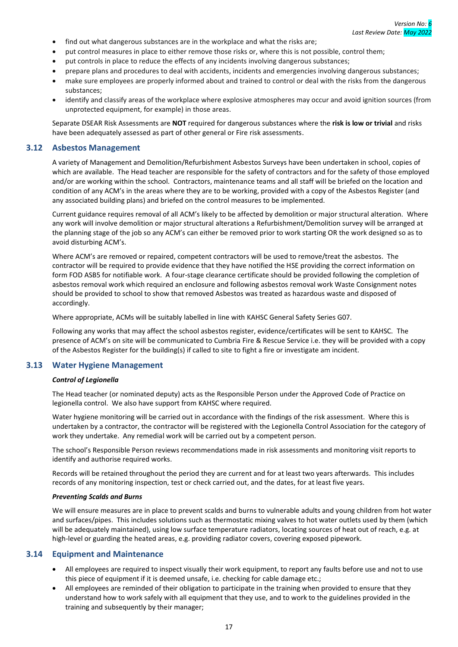- find out what dangerous substances are in the workplace and what the risks are;
- put control measures in place to either remove those risks or, where this is not possible, control them;
- put controls in place to reduce the effects of any incidents involving dangerous substances;
- prepare plans and procedures to deal with accidents, incidents and emergencies involving dangerous substances;
- make sure employees are properly informed about and trained to control or deal with the risks from the dangerous substances;
- identify and classify areas of the workplace where explosive atmospheres may occur and avoid ignition sources (from unprotected equipment, for example) in those areas.

Separate DSEAR Risk Assessments are **NOT** required for dangerous substances where the **risk is low or trivial** and risks have been adequately assessed as part of other general or Fire risk assessments.

#### <span id="page-20-0"></span>**3.12 Asbestos Management**

A variety of Management and Demolition/Refurbishment Asbestos Surveys have been undertaken in school, copies of which are available. The Head teacher are responsible for the safety of contractors and for the safety of those employed and/or are working within the school. Contractors, maintenance teams and all staff will be briefed on the location and condition of any ACM's in the areas where they are to be working, provided with a copy of the Asbestos Register (and any associated building plans) and briefed on the control measures to be implemented.

Current guidance requires removal of all ACM's likely to be affected by demolition or major structural alteration. Where any work will involve demolition or major structural alterations a Refurbishment/Demolition survey will be arranged at the planning stage of the job so any ACM's can either be removed prior to work starting OR the work designed so as to avoid disturbing ACM's.

Where ACM's are removed or repaired, competent contractors will be used to remove/treat the asbestos. The contractor will be required to provide evidence that they have notified the HSE providing the correct information on form FOD ASB5 for notifiable work. A four-stage clearance certificate should be provided following the completion of asbestos removal work which required an enclosure and following asbestos removal work Waste Consignment notes should be provided to school to show that removed Asbestos was treated as hazardous waste and disposed of accordingly.

Where appropriate, ACMs will be suitably labelled in line with KAHSC General Safety Series G07.

Following any works that may affect the school asbestos register, evidence/certificates will be sent to KAHSC. The presence of ACM's on site will be communicated to Cumbria Fire & Rescue Service i.e. they will be provided with a copy of the Asbestos Register for the building(s) if called to site to fight a fire or investigate am incident*.*

## <span id="page-20-1"></span>**3.13 Water Hygiene Management**

#### *Control of Legionella*

The Head teacher (or nominated deputy) acts as the Responsible Person under the Approved Code of Practice on legionella control. We also have support from KAHSC where required.

Water hygiene monitoring will be carried out in accordance with the findings of the risk assessment. Where this is undertaken by a contractor, the contractor will be registered with the Legionella Control Association for the category of work they undertake. Any remedial work will be carried out by a competent person.

The school's Responsible Person reviews recommendations made in risk assessments and monitoring visit reports to identify and authorise required works.

Records will be retained throughout the period they are current and for at least two years afterwards. This includes records of any monitoring inspection, test or check carried out, and the dates, for at least five years.

#### *Preventing Scalds and Burns*

We will ensure measures are in place to prevent scalds and burns to vulnerable adults and young children from hot water and surfaces/pipes. This includes solutions such as thermostatic mixing valves to hot water outlets used by them (which will be adequately maintained), using low surface temperature radiators, locating sources of heat out of reach, e.g. at high-level or guarding the heated areas, e.g. providing radiator covers, covering exposed pipework.

#### <span id="page-20-2"></span>**3.14 Equipment and Maintenance**

- All employees are required to inspect visually their work equipment, to report any faults before use and not to use this piece of equipment if it is deemed unsafe, i.e. checking for cable damage etc.;
- All employees are reminded of their obligation to participate in the training when provided to ensure that they understand how to work safely with all equipment that they use, and to work to the guidelines provided in the training and subsequently by their manager;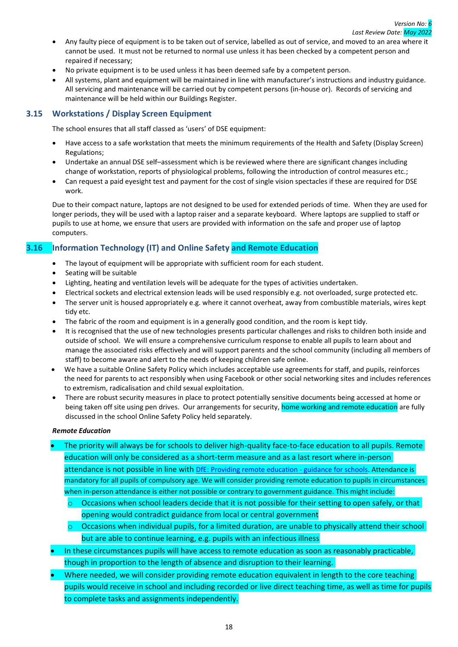- Any faulty piece of equipment is to be taken out of service, labelled as out of service, and moved to an area where it cannot be used. It must not be returned to normal use unless it has been checked by a competent person and repaired if necessary;
- No private equipment is to be used unless it has been deemed safe by a competent person.
- All systems, plant and equipment will be maintained in line with manufacturer's instructions and industry guidance. All servicing and maintenance will be carried out by competent persons (in-house or). Records of servicing and maintenance will be held within our Buildings Register.

## <span id="page-21-0"></span>**3.15 Workstations / Display Screen Equipment**

The school ensures that all staff classed as 'users' of DSE equipment:

- Have access to a safe workstation that meets the minimum requirements of the Health and Safety (Display Screen) Regulations;
- Undertake an annual DSE self–assessment which is be reviewed where there are significant changes including change of workstation, reports of physiological problems, following the introduction of control measures etc.;
- Can request a paid eyesight test and payment for the cost of single vision spectacles if these are required for DSE work.

Due to their compact nature, laptops are not designed to be used for extended periods of time. When they are used for longer periods, they will be used with a laptop raiser and a separate keyboard. Where laptops are supplied to staff or pupils to use at home, we ensure that users are provided with information on the safe and proper use of laptop computers.

## <span id="page-21-1"></span>**3.16 Information Technology (IT) and Online Safety and Remote Education**

- The layout of equipment will be appropriate with sufficient room for each student.
- Seating will be suitable
- Lighting, heating and ventilation levels will be adequate for the types of activities undertaken.
- Electrical sockets and electrical extension leads will be used responsibly e.g. not overloaded, surge protected etc.
- The server unit is housed appropriately e.g. where it cannot overheat, away from combustible materials, wires kept tidy etc.
- The fabric of the room and equipment is in a generally good condition, and the room is kept tidy.
- It is recognised that the use of new technologies presents particular challenges and risks to children both inside and outside of school. We will ensure a comprehensive curriculum response to enable all pupils to learn about and manage the associated risks effectively and will support parents and the school community (including all members of staff) to become aware and alert to the needs of keeping children safe online.
- We have a suitable Online Safety Policy which includes acceptable use agreements for staff, and pupils, reinforces the need for parents to act responsibly when using Facebook or other social networking sites and includes references to extremism, radicalisation and child sexual exploitation.
- There are robust security measures in place to protect potentially sensitive documents being accessed at home or being taken off site using pen drives. Our arrangements for security, home working and remote education are fully discussed in the school Online Safety Policy held separately.

#### *Remote Education*

- The priority will always be for schools to deliver high-quality face-to-face education to all pupils. Remote education will only be considered as a short-term measure and as a last resort where in-person attendance is not possible in line with [DfE: Providing remote education -](https://www.gov.uk/government/publications/providing-remote-education-guidance-for-schools/providing-remote-education-guidance-for-schools) guidance for schools. Attendance is mandatory for all pupils of compulsory age. We will consider providing remote education to pupils in circumstances when in-person attendance is either not possible or contrary to government guidance. This might include:
	- $\circ$  Occasions when school leaders decide that it is not possible for their setting to open safely, or that opening would contradict guidance from local or central government
	- $\circ$  Occasions when individual pupils, for a limited duration, are unable to physically attend their school but are able to continue learning, e.g. pupils with an infectious illness
- In these circumstances pupils will have access to remote education as soon as reasonably practicable, though in proportion to the length of absence and disruption to their learning.
- Where needed, we will consider providing remote education equivalent in length to the core teaching pupils would receive in school and including recorded or live direct teaching time, as well as time for pupils to complete tasks and assignments independently.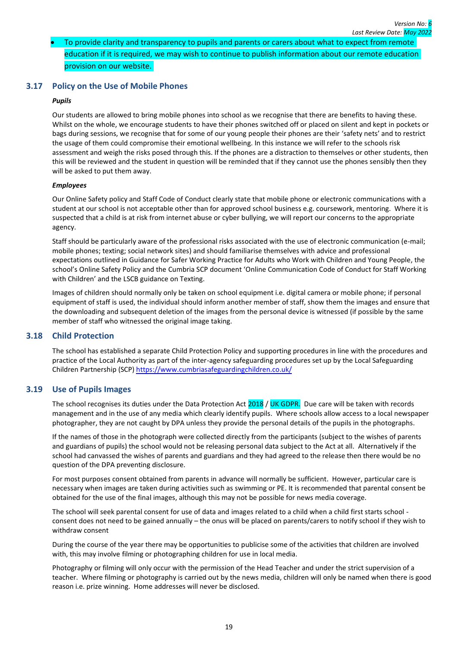## • To provide clarity and transparency to pupils and parents or carers about what to expect from remote education if it is required, we may wish to continue to publish information about our remote education provision on our website.

## <span id="page-22-0"></span>**3.17 Policy on the Use of Mobile Phones**

#### *Pupils*

Our students are allowed to bring mobile phones into school as we recognise that there are benefits to having these. Whilst on the whole, we encourage students to have their phones switched off or placed on silent and kept in pockets or bags during sessions, we recognise that for some of our young people their phones are their 'safety nets' and to restrict the usage of them could compromise their emotional wellbeing. In this instance we will refer to the schools risk assessment and weigh the risks posed through this. If the phones are a distraction to themselves or other students, then this will be reviewed and the student in question will be reminded that if they cannot use the phones sensibly then they will be asked to put them away.

#### *Employees*

Our Online Safety policy and Staff Code of Conduct clearly state that mobile phone or electronic communications with a student at our school is not acceptable other than for approved school business e.g. coursework, mentoring. Where it is suspected that a child is at risk from internet abuse or cyber bullying, we will report our concerns to the appropriate agency.

Staff should be particularly aware of the professional risks associated with the use of electronic communication (e-mail; mobile phones; texting; social network sites) and should familiarise themselves with advice and professional expectations outlined in Guidance for Safer Working Practice for Adults who Work with Children and Young People, the school's Online Safety Policy and the Cumbria SCP document 'Online Communication Code of Conduct for Staff Working with Children' and the LSCB guidance on Texting.

Images of children should normally only be taken on school equipment i.e. digital camera or mobile phone; if personal equipment of staff is used, the individual should inform another member of staff, show them the images and ensure that the downloading and subsequent deletion of the images from the personal device is witnessed (if possible by the same member of staff who witnessed the original image taking.

#### <span id="page-22-1"></span>**3.18 Child Protection**

The school has established a separate Child Protection Policy and supporting procedures in line with the procedures and practice of the Local Authority as part of the inter-agency safeguarding procedures set up by the Local Safeguarding Children Partnership (SCP) <https://www.cumbriasafeguardingchildren.co.uk/>

## <span id="page-22-2"></span>**3.19 Use of Pupils Images**

The school recognises its duties under the Data Protection Act  $2018$  / UK GDPR. Due care will be taken with records management and in the use of any media which clearly identify pupils. Where schools allow access to a local newspaper photographer, they are not caught by DPA unless they provide the personal details of the pupils in the photographs.

If the names of those in the photograph were collected directly from the participants (subject to the wishes of parents and guardians of pupils) the school would not be releasing personal data subject to the Act at all. Alternatively if the school had canvassed the wishes of parents and guardians and they had agreed to the release then there would be no question of the DPA preventing disclosure.

For most purposes consent obtained from parents in advance will normally be sufficient. However, particular care is necessary when images are taken during activities such as swimming or PE. It is recommended that parental consent be obtained for the use of the final images, although this may not be possible for news media coverage.

The school will seek parental consent for use of data and images related to a child when a child first starts school consent does not need to be gained annually – the onus will be placed on parents/carers to notify school if they wish to withdraw consent

During the course of the year there may be opportunities to publicise some of the activities that children are involved with, this may involve filming or photographing children for use in local media.

Photography or filming will only occur with the permission of the Head Teacher and under the strict supervision of a teacher. Where filming or photography is carried out by the news media, children will only be named when there is good reason i.e. prize winning. Home addresses will never be disclosed.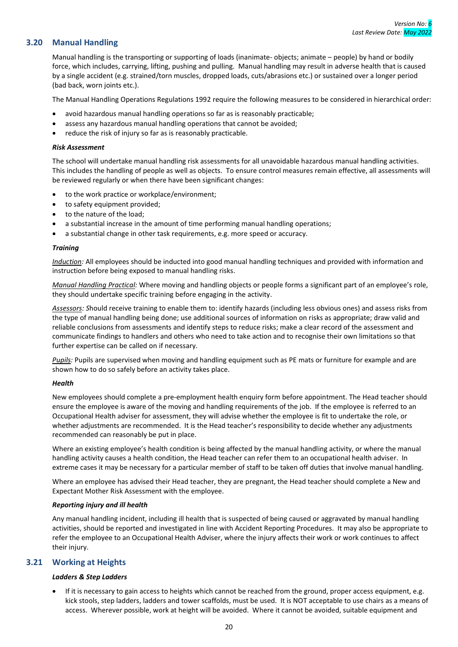## <span id="page-23-0"></span>**3.20 Manual Handling**

Manual handling is the transporting or supporting of loads (inanimate- objects; animate – people) by hand or bodily force, which includes, carrying, lifting, pushing and pulling. Manual handling may result in adverse health that is caused by a single accident (e.g. strained/torn muscles, dropped loads, cuts/abrasions etc.) or sustained over a longer period (bad back, worn joints etc.).

The Manual Handling Operations Regulations 1992 require the following measures to be considered in hierarchical order:

- avoid hazardous manual handling operations so far as is reasonably practicable;
- assess any hazardous manual handling operations that cannot be avoided;
- reduce the risk of injury so far as is reasonably practicable.

#### *Risk Assessment*

The school will undertake manual handling risk assessments for all unavoidable hazardous manual handling activities. This includes the handling of people as well as objects. To ensure control measures remain effective, all assessments will be reviewed regularly or when there have been significant changes:

- to the work practice or workplace/environment;
- to safety equipment provided;
- to the nature of the load;
- a substantial increase in the amount of time performing manual handling operations;
- a substantial change in other task requirements, e.g. more speed or accuracy.

#### *Training*

*Induction:* All employees should be inducted into good manual handling techniques and provided with information and instruction before being exposed to manual handling risks.

*Manual Handling Practical:* Where moving and handling objects or people forms a significant part of an employee's role, they should undertake specific training before engaging in the activity.

*Assessors: S*hould receive training to enable them to: identify hazards (including less obvious ones) and assess risks from the type of manual handling being done; use additional sources of information on risks as appropriate; draw valid and reliable conclusions from assessments and identify steps to reduce risks; make a clear record of the assessment and communicate findings to handlers and others who need to take action and to recognise their own limitations so that further expertise can be called on if necessary.

*Pupils:* Pupils are supervised when moving and handling equipment such as PE mats or furniture for example and are shown how to do so safely before an activity takes place.

#### *Health*

New employees should complete a pre-employment health enquiry form before appointment. The Head teacher should ensure the employee is aware of the moving and handling requirements of the job. If the employee is referred to an Occupational Health adviser for assessment, they will advise whether the employee is fit to undertake the role, or whether adjustments are recommended. It is the Head teacher's responsibility to decide whether any adjustments recommended can reasonably be put in place.

Where an existing employee's health condition is being affected by the manual handling activity, or where the manual handling activity causes a health condition, the Head teacher can refer them to an occupational health adviser. In extreme cases it may be necessary for a particular member of staff to be taken off duties that involve manual handling.

Where an employee has advised their Head teacher, they are pregnant, the Head teacher should complete a New and Expectant Mother Risk Assessment with the employee.

#### *Reporting injury and ill health*

Any manual handling incident, including ill health that is suspected of being caused or aggravated by manual handling activities, should be reported and investigated in line with Accident Reporting Procedures. It may also be appropriate to refer the employee to an Occupational Health Adviser, where the injury affects their work or work continues to affect their injury.

## <span id="page-23-1"></span>**3.21 Working at Heights**

#### *Ladders & Step Ladders*

If it is necessary to gain access to heights which cannot be reached from the ground, proper access equipment, e.g. kick stools, step ladders, ladders and tower scaffolds, must be used. It is NOT acceptable to use chairs as a means of access. Wherever possible, work at height will be avoided. Where it cannot be avoided, suitable equipment and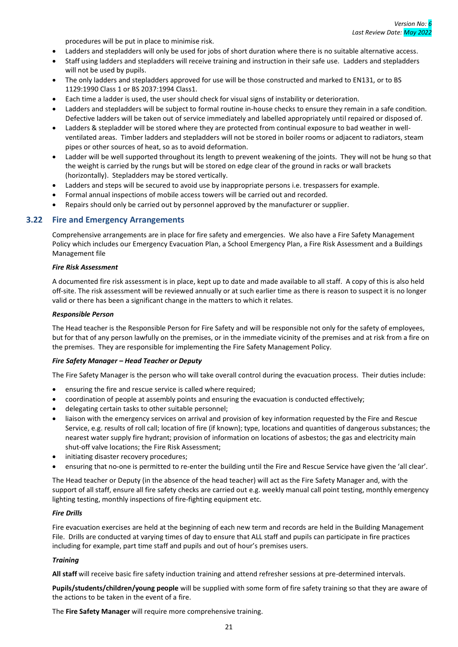procedures will be put in place to minimise risk.

- Ladders and stepladders will only be used for jobs of short duration where there is no suitable alternative access.
- Staff using ladders and stepladders will receive training and instruction in their safe use. Ladders and stepladders will not be used by pupils.
- The only ladders and stepladders approved for use will be those constructed and marked to EN131, or to BS 1129:1990 Class 1 or BS 2037:1994 Class1.
- Each time a ladder is used, the user should check for visual signs of instability or deterioration.
- Ladders and stepladders will be subject to formal routine in-house checks to ensure they remain in a safe condition. Defective ladders will be taken out of service immediately and labelled appropriately until repaired or disposed of.
- Ladders & stepladder will be stored where they are protected from continual exposure to bad weather in wellventilated areas. Timber ladders and stepladders will not be stored in boiler rooms or adjacent to radiators, steam pipes or other sources of heat, so as to avoid deformation.
- Ladder will be well supported throughout its length to prevent weakening of the joints. They will not be hung so that the weight is carried by the rungs but will be stored on edge clear of the ground in racks or wall brackets (horizontally). Stepladders may be stored vertically.
- Ladders and steps will be secured to avoid use by inappropriate persons i.e. trespassers for example.
- Formal annual inspections of mobile access towers will be carried out and recorded.
- Repairs should only be carried out by personnel approved by the manufacturer or supplier.

#### <span id="page-24-0"></span>**3.22 Fire and Emergency Arrangements**

Comprehensive arrangements are in place for fire safety and emergencies. We also have a Fire Safety Management Policy which includes our Emergency Evacuation Plan, a School Emergency Plan, a Fire Risk Assessment and a Buildings Management file

#### *Fire Risk Assessment*

A documented fire risk assessment is in place, kept up to date and made available to all staff. A copy of this is also held off-site. The risk assessment will be reviewed annually or at such earlier time as there is reason to suspect it is no longer valid or there has been a significant change in the matters to which it relates.

#### *Responsible Person*

The Head teacher is the Responsible Person for Fire Safety and will be responsible not only for the safety of employees, but for that of any person lawfully on the premises, or in the immediate vicinity of the premises and at risk from a fire on the premises. They are responsible for implementing the Fire Safety Management Policy.

#### *Fire Safety Manager – Head Teacher or Deputy*

The Fire Safety Manager is the person who will take overall control during the evacuation process. Their duties include:

- ensuring the fire and rescue service is called where required;
- coordination of people at assembly points and ensuring the evacuation is conducted effectively;
- delegating certain tasks to other suitable personnel;
- liaison with the emergency services on arrival and provision of key information requested by the Fire and Rescue Service, e.g. results of roll call; location of fire (if known); type, locations and quantities of dangerous substances; the nearest water supply fire hydrant; provision of information on locations of asbestos; the gas and electricity main shut-off valve locations; the Fire Risk Assessment;
- initiating disaster recovery procedures;
- ensuring that no-one is permitted to re-enter the building until the Fire and Rescue Service have given the 'all clear'.

The Head teacher or Deputy (in the absence of the head teacher) will act as the Fire Safety Manager and, with the support of all staff, ensure all fire safety checks are carried out e.g. weekly manual call point testing, monthly emergency lighting testing, monthly inspections of fire-fighting equipment etc.

#### *Fire Drills*

Fire evacuation exercises are held at the beginning of each new term and records are held in the Building Management File. Drills are conducted at varying times of day to ensure that ALL staff and pupils can participate in fire practices including for example, part time staff and pupils and out of hour's premises users.

#### *Training*

**All staff** will receive basic fire safety induction training and attend refresher sessions at pre-determined intervals.

**Pupils/students/children/young people** will be supplied with some form of fire safety training so that they are aware of the actions to be taken in the event of a fire.

The **Fire Safety Manager** will require more comprehensive training.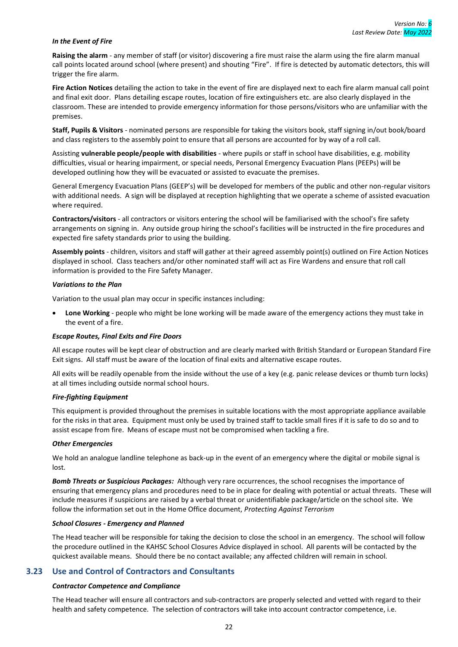#### *In the Event of Fire*

**Raising the alarm** - any member of staff (or visitor) discovering a fire must raise the alarm using the fire alarm manual call points located around school (where present) and shouting "Fire". If fire is detected by automatic detectors, this will trigger the fire alarm.

**Fire Action Notices** detailing the action to take in the event of fire are displayed next to each fire alarm manual call point and final exit door. Plans detailing escape routes, location of fire extinguishers etc. are also clearly displayed in the classroom. These are intended to provide emergency information for those persons/visitors who are unfamiliar with the premises.

**Staff, Pupils & Visitors** - nominated persons are responsible for taking the visitors book, staff signing in/out book/board and class registers to the assembly point to ensure that all persons are accounted for by way of a roll call.

Assisting **vulnerable people/people with disabilities** - where pupils or staff in school have disabilities, e.g. mobility difficulties, visual or hearing impairment, or special needs, Personal Emergency Evacuation Plans (PEEPs) will be developed outlining how they will be evacuated or assisted to evacuate the premises.

General Emergency Evacuation Plans (GEEP's) will be developed for members of the public and other non-regular visitors with additional needs. A sign will be displayed at reception highlighting that we operate a scheme of assisted evacuation where required.

**Contractors/visitors** - all contractors or visitors entering the school will be familiarised with the school's fire safety arrangements on signing in. Any outside group hiring the school's facilities will be instructed in the fire procedures and expected fire safety standards prior to using the building.

**Assembly points** - children, visitors and staff will gather at their agreed assembly point(s) outlined on Fire Action Notices displayed in school. Class teachers and/or other nominated staff will act as Fire Wardens and ensure that roll call information is provided to the Fire Safety Manager.

#### *Variations to the Plan*

Variation to the usual plan may occur in specific instances including:

• **Lone Working** - people who might be lone working will be made aware of the emergency actions they must take in the event of a fire.

#### *Escape Routes, Final Exits and Fire Doors*

All escape routes will be kept clear of obstruction and are clearly marked with British Standard or European Standard Fire Exit signs. All staff must be aware of the location of final exits and alternative escape routes.

All exits will be readily openable from the inside without the use of a key (e.g. panic release devices or thumb turn locks) at all times including outside normal school hours.

#### *Fire-fighting Equipment*

This equipment is provided throughout the premises in suitable locations with the most appropriate appliance available for the risks in that area. Equipment must only be used by trained staff to tackle small fires if it is safe to do so and to assist escape from fire. Means of escape must not be compromised when tackling a fire.

#### *Other Emergencies*

We hold an analogue landline telephone as back-up in the event of an emergency where the digital or mobile signal is lost.

*Bomb Threats or Suspicious Packages:* Although very rare occurrences, the school recognises the importance of ensuring that emergency plans and procedures need to be in place for dealing with potential or actual threats. These will include measures if suspicions are raised by a verbal threat or unidentifiable package/article on the school site. We follow the information set out in the Home Office document, *Protecting Against Terrorism*

#### *School Closures - Emergency and Planned*

The Head teacher will be responsible for taking the decision to close the school in an emergency. The school will follow the procedure outlined in the KAHSC School Closures Advice displayed in school. All parents will be contacted by the quickest available means. Should there be no contact available; any affected children will remain in school.

#### <span id="page-25-0"></span>**3.23 Use and Control of Contractors and Consultants**

#### *Contractor Competence and Compliance*

The Head teacher will ensure all contractors and sub-contractors are properly selected and vetted with regard to their health and safety competence. The selection of contractors will take into account contractor competence, i.e.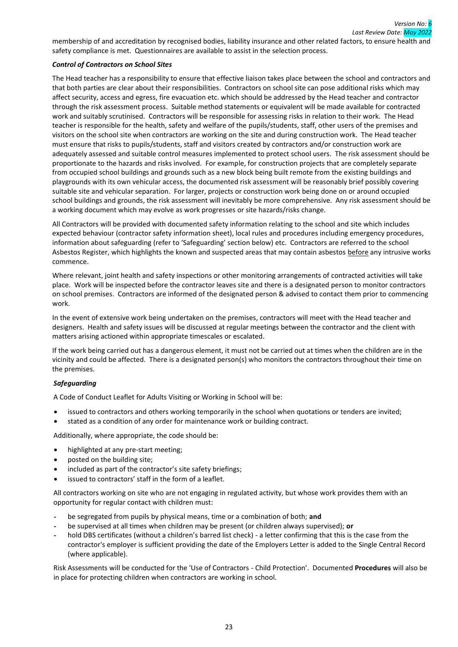membership of and accreditation by recognised bodies, liability insurance and other related factors, to ensure health and safety compliance is met. Questionnaires are available to assist in the selection process.

#### *Control of Contractors on School Sites*

The Head teacher has a responsibility to ensure that effective liaison takes place between the school and contractors and that both parties are clear about their responsibilities. Contractors on school site can pose additional risks which may affect security, access and egress, fire evacuation etc. which should be addressed by the Head teacher and contractor through the risk assessment process. Suitable method statements or equivalent will be made available for contracted work and suitably scrutinised. Contractors will be responsible for assessing risks in relation to their work. The Head teacher is responsible for the health, safety and welfare of the pupils/students, staff, other users of the premises and visitors on the school site when contractors are working on the site and during construction work. The Head teacher must ensure that risks to pupils/students, staff and visitors created by contractors and/or construction work are adequately assessed and suitable control measures implemented to protect school users. The risk assessment should be proportionate to the hazards and risks involved. For example, for construction projects that are completely separate from occupied school buildings and grounds such as a new block being built remote from the existing buildings and playgrounds with its own vehicular access, the documented risk assessment will be reasonably brief possibly covering suitable site and vehicular separation. For larger, projects or construction work being done on or around occupied school buildings and grounds, the risk assessment will inevitably be more comprehensive. Any risk assessment should be a working document which may evolve as work progresses or site hazards/risks change.

All Contractors will be provided with documented safety information relating to the school and site which includes expected behaviour (contractor safety information sheet), local rules and procedures including emergency procedures, information about safeguarding (refer to 'Safeguarding' section below) etc. Contractors are referred to the school Asbestos Register, which highlights the known and suspected areas that may contain asbestos before any intrusive works commence.

Where relevant, joint health and safety inspections or other monitoring arrangements of contracted activities will take place. Work will be inspected before the contractor leaves site and there is a designated person to monitor contractors on school premises. Contractors are informed of the designated person & advised to contact them prior to commencing work.

In the event of extensive work being undertaken on the premises, contractors will meet with the Head teacher and designers. Health and safety issues will be discussed at regular meetings between the contractor and the client with matters arising actioned within appropriate timescales or escalated.

If the work being carried out has a dangerous element, it must not be carried out at times when the children are in the vicinity and could be affected. There is a designated person(s) who monitors the contractors throughout their time on the premises.

#### *Safeguarding*

A Code of Conduct Leaflet for Adults Visiting or Working in School will be:

- issued to contractors and others working temporarily in the school when quotations or tenders are invited;
- stated as a condition of any order for maintenance work or building contract.

Additionally, where appropriate, the code should be:

- highlighted at any pre-start meeting;
- posted on the building site;
- included as part of the contractor's site safety briefings;
- issued to contractors' staff in the form of a leaflet.

All contractors working on site who are not engaging in regulated activity, but whose work provides them with an opportunity for regular contact with children must:

- be segregated from pupils by physical means, time or a combination of both; and
- be supervised at all times when children may be present (or children always supervised); **or**
- hold DBS certificates (without a children's barred list check) a letter confirming that this is the case from the contractor's employer is sufficient providing the date of the Employers Letter is added to the Single Central Record (where applicable).

Risk Assessments will be conducted for the 'Use of Contractors - Child Protection'. Documented **Procedures** will also be in place for protecting children when contractors are working in school.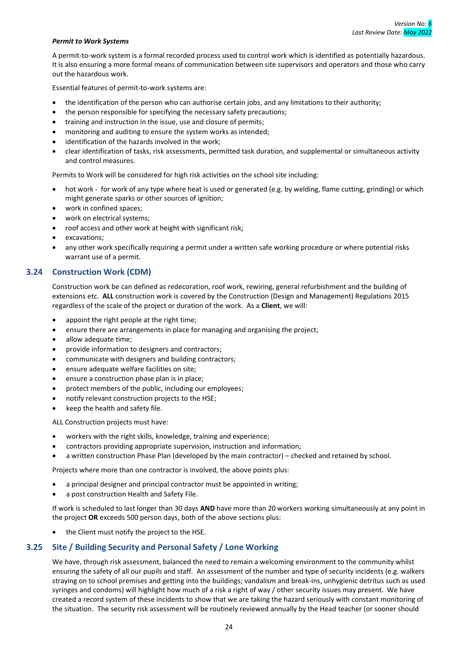#### *Permit to Work Systems*

A permit-to-work system is a formal recorded process used to control work which is identified as potentially hazardous. It is also ensuring a more formal means of communication between site supervisors and operators and those who carry out the hazardous work.

Essential features of permit-to-work systems are:

- the identification of the person who can authorise certain jobs, and any limitations to their authority;
- the person responsible for specifying the necessary safety precautions;
- training and instruction in the issue, use and closure of permits;
- monitoring and auditing to ensure the system works as intended;
- identification of the hazards involved in the work;
- clear identification of tasks, risk assessments, permitted task duration, and supplemental or simultaneous activity and control measures.

Permits to Work will be considered for high risk activities on the school site including:

- hot work for work of any type where heat is used or generated (e.g. by welding, flame cutting, grinding) or which might generate sparks or other sources of ignition;
- work in confined spaces;
- work on electrical systems;
- roof access and other work at height with significant risk;
- excavations;
- any other work specifically requiring a permit under a written safe working procedure or where potential risks warrant use of a permit.

#### <span id="page-27-0"></span>**3.24 Construction Work (CDM)**

Construction work be can defined as redecoration, roof work, rewiring, general refurbishment and the building of extensions etc. **ALL** construction work is covered by the Construction (Design and Management) Regulations 2015 regardless of the scale of the project or duration of the work. As a **Client**, we will:

- appoint the right people at the right time;
- ensure there are arrangements in place for managing and organising the project;
- allow adequate time;
- provide information to designers and contractors;
- communicate with designers and building contractors;
- ensure adequate welfare facilities on site;
- ensure a construction phase plan is in place;
- protect members of the public, including our employees;
- notify relevant construction projects to the HSE;
- keep the health and safety file.

ALL Construction projects must have:

- workers with the right skills, knowledge, training and experience;
- contractors providing appropriate supervision, instruction and information;
- a written construction Phase Plan (developed by the main contractor) checked and retained by school.

Projects where more than one contractor is involved, the above points plus:

- a principal designer and principal contractor must be appointed in writing;
- a post construction Health and Safety File.

If work is scheduled to last longer than 30 days **AND** have more than 20 workers working simultaneously at any point in the project **OR** exceeds 500 person days, both of the above sections plus:

the Client must notify the project to the HSE.

## <span id="page-27-1"></span>**3.25 Site / Building Security and Personal Safety / Lone Working**

We have, through risk assessment, balanced the need to remain a welcoming environment to the community whilst ensuring the safety of all our pupils and staff. An assessment of the number and type of security incidents (e.g. walkers straying on to school premises and getting into the buildings; vandalism and break-ins, unhygienic detritus such as used syringes and condoms) will highlight how much of a risk a right of way / other security issues may present. We have created a record system of these incidents to show that we are taking the hazard seriously with constant monitoring of the situation. The security risk assessment will be routinely reviewed annually by the Head teacher (or sooner should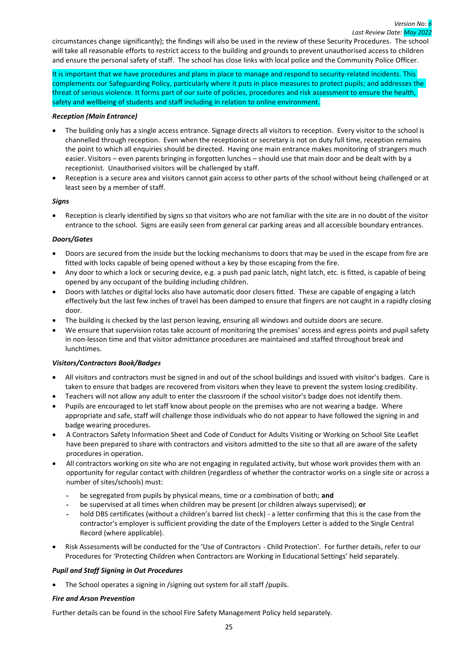circumstances change significantly); the findings will also be used in the review of these Security Procedures. The school will take all reasonable efforts to restrict access to the building and grounds to prevent unauthorised access to children and ensure the personal safety of staff. The school has close links with local police and the Community Police Officer.

It is important that we have procedures and plans in place to manage and respond to security-related incidents. This complements our Safeguarding Policy, particularly where it puts in place measures to protect pupils; and addresses the threat of serious violence. It forms part of our suite of policies, procedures and risk assessment to ensure the health, safety and wellbeing of students and staff including in relation to online environment.

## *Reception (Main Entrance)*

- The building only has a single access entrance. Signage directs all visitors to reception. Every visitor to the school is channelled through reception. Even when the receptionist or secretary is not on duty full time, reception remains the point to which all enquiries should be directed. Having one main entrance makes monitoring of strangers much easier. Visitors – even parents bringing in forgotten lunches – should use that main door and be dealt with by a receptionist. Unauthorised visitors will be challenged by staff.
- Reception is a secure area and visitors cannot gain access to other parts of the school without being challenged or at least seen by a member of staff.

#### *Signs*

• Reception is clearly identified by signs so that visitors who are not familiar with the site are in no doubt of the visitor entrance to the school. Signs are easily seen from general car parking areas and all accessible boundary entrances.

## *Doors/Gates*

- Doors are secured from the inside but the locking mechanisms to doors that may be used in the escape from fire are fitted with locks capable of being opened without a key by those escaping from the fire.
- Any door to which a lock or securing device, e.g. a push pad panic latch, night latch, etc. is fitted, is capable of being opened by any occupant of the building including children.
- Doors with latches or digital locks also have automatic door closers fitted. These are capable of engaging a latch effectively but the last few inches of travel has been damped to ensure that fingers are not caught in a rapidly closing door.
- The building is checked by the last person leaving, ensuring all windows and outside doors are secure.
- We ensure that supervision rotas take account of monitoring the premises' access and egress points and pupil safety in non-lesson time and that visitor admittance procedures are maintained and staffed throughout break and lunchtimes.

#### *Visitors/Contractors Book/Badges*

- All visitors and contractors must be signed in and out of the school buildings and issued with visitor's badges. Care is taken to ensure that badges are recovered from visitors when they leave to prevent the system losing credibility.
- Teachers will not allow any adult to enter the classroom if the school visitor's badge does not identify them.
- Pupils are encouraged to let staff know about people on the premises who are not wearing a badge. Where appropriate and safe, staff will challenge those individuals who do not appear to have followed the signing in and badge wearing procedures.
- A Contractors Safety Information Sheet and Code of Conduct for Adults Visiting or Working on School Site Leaflet have been prepared to share with contractors and visitors admitted to the site so that all are aware of the safety procedures in operation.
- All contractors working on site who are not engaging in regulated activity, but whose work provides them with an opportunity for regular contact with children (regardless of whether the contractor works on a single site or across a number of sites/schools) must:
	- be segregated from pupils by physical means, time or a combination of both; and
	- be supervised at all times when children may be present (or children always supervised); **or**
	- hold DBS certificates (without a children's barred list check) a letter confirming that this is the case from the contractor's employer is sufficient providing the date of the Employers Letter is added to the Single Central Record (where applicable).
- Risk Assessments will be conducted for the 'Use of Contractors Child Protection'. For further details, refer to our Procedures for 'Protecting Children when Contractors are Working in Educational Settings' held separately.

## *Pupil and Staff Signing in Out Procedures*

The School operates a signing in /signing out system for all staff /pupils.

#### *Fire and Arson Prevention*

Further details can be found in the school Fire Safety Management Policy held separately.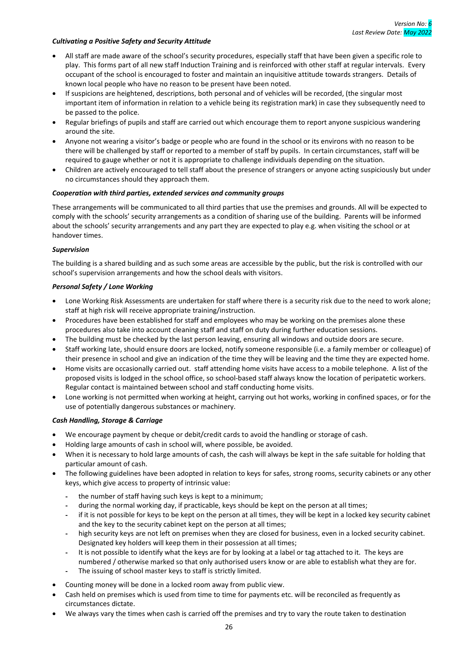#### *Cultivating a Positive Safety and Security Attitude*

- All staff are made aware of the school's security procedures, especially staff that have been given a specific role to play. This forms part of all new staff Induction Training and is reinforced with other staff at regular intervals. Every occupant of the school is encouraged to foster and maintain an inquisitive attitude towards strangers. Details of known local people who have no reason to be present have been noted.
- If suspicions are heightened, descriptions, both personal and of vehicles will be recorded, (the singular most important item of information in relation to a vehicle being its registration mark) in case they subsequently need to be passed to the police.
- Regular briefings of pupils and staff are carried out which encourage them to report anyone suspicious wandering around the site.
- Anyone not wearing a visitor's badge or people who are found in the school or its environs with no reason to be there will be challenged by staff or reported to a member of staff by pupils. In certain circumstances, staff will be required to gauge whether or not it is appropriate to challenge individuals depending on the situation.
- Children are actively encouraged to tell staff about the presence of strangers or anyone acting suspiciously but under no circumstances should they approach them.

#### *Cooperation with third parties, extended services and community groups*

These arrangements will be communicated to all third parties that use the premises and grounds. All will be expected to comply with the schools' security arrangements as a condition of sharing use of the building. Parents will be informed about the schools' security arrangements and any part they are expected to play e.g. when visiting the school or at handover times.

#### *Supervision*

The building is a shared building and as such some areas are accessible by the public, but the risk is controlled with our school's supervision arrangements and how the school deals with visitors.

#### *Personal Safety / Lone Working*

- Lone Working Risk Assessments are undertaken for staff where there is a security risk due to the need to work alone; staff at high risk will receive appropriate training/instruction.
- Procedures have been established for staff and employees who may be working on the premises alone these procedures also take into account cleaning staff and staff on duty during further education sessions.
- The building must be checked by the last person leaving, ensuring all windows and outside doors are secure.
- Staff working late, should ensure doors are locked, notify someone responsible (i.e. a family member or colleague) of their presence in school and give an indication of the time they will be leaving and the time they are expected home.
- Home visits are occasionally carried out. staff attending home visits have access to a mobile telephone. A list of the proposed visits is lodged in the school office, so school-based staff always know the location of peripatetic workers. Regular contact is maintained between school and staff conducting home visits.
- Lone working is not permitted when working at height, carrying out hot works, working in confined spaces, or for the use of potentially dangerous substances or machinery.

#### *Cash Handling, Storage & Carriage*

- We encourage payment by cheque or debit/credit cards to avoid the handling or storage of cash.
- Holding large amounts of cash in school will, where possible, be avoided.
- When it is necessary to hold large amounts of cash, the cash will always be kept in the safe suitable for holding that particular amount of cash.
- The following guidelines have been adopted in relation to keys for safes, strong rooms, security cabinets or any other keys, which give access to property of intrinsic value:
	- the number of staff having such keys is kept to a minimum;
	- during the normal working day, if practicable, keys should be kept on the person at all times;
	- if it is not possible for keys to be kept on the person at all times, they will be kept in a locked key security cabinet and the key to the security cabinet kept on the person at all times;
	- high security keys are not left on premises when they are closed for business, even in a locked security cabinet. Designated key holders will keep them in their possession at all times;
	- It is not possible to identify what the keys are for by looking at a label or tag attached to it. The keys are numbered / otherwise marked so that only authorised users know or are able to establish what they are for.
	- The issuing of school master keys to staff is strictly limited.
- Counting money will be done in a locked room away from public view.
- Cash held on premises which is used from time to time for payments etc. will be reconciled as frequently as circumstances dictate.
- We always vary the times when cash is carried off the premises and try to vary the route taken to destination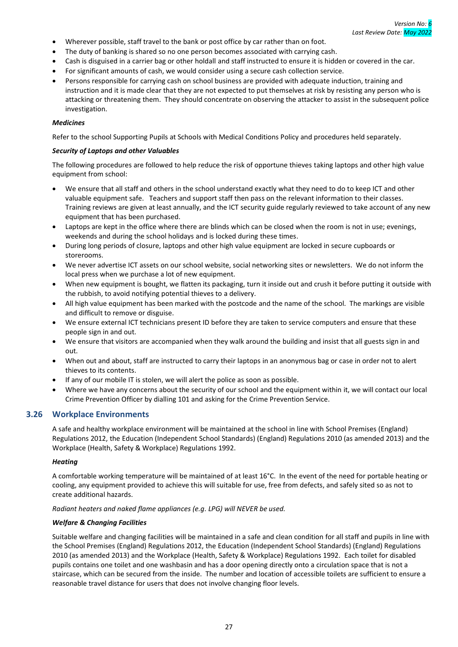- Wherever possible, staff travel to the bank or post office by car rather than on foot.
- The duty of banking is shared so no one person becomes associated with carrying cash.
- Cash is disguised in a carrier bag or other holdall and staff instructed to ensure it is hidden or covered in the car.
- For significant amounts of cash, we would consider using a secure cash collection service.
- Persons responsible for carrying cash on school business are provided with adequate induction, training and instruction and it is made clear that they are not expected to put themselves at risk by resisting any person who is attacking or threatening them. They should concentrate on observing the attacker to assist in the subsequent police investigation.

#### *Medicines*

Refer to the school Supporting Pupils at Schools with Medical Conditions Policy and procedures held separately.

#### *Security of Laptops and other Valuables*

The following procedures are followed to help reduce the risk of opportune thieves taking laptops and other high value equipment from school:

- We ensure that all staff and others in the school understand exactly what they need to do to keep ICT and other valuable equipment safe. Teachers and support staff then pass on the relevant information to their classes. Training reviews are given at least annually, and the ICT security guide regularly reviewed to take account of any new equipment that has been purchased.
- Laptops are kept in the office where there are blinds which can be closed when the room is not in use; evenings, weekends and during the school holidays and is locked during these times.
- During long periods of closure, laptops and other high value equipment are locked in secure cupboards or storerooms.
- We never advertise ICT assets on our school website, social networking sites or newsletters. We do not inform the local press when we purchase a lot of new equipment.
- When new equipment is bought, we flatten its packaging, turn it inside out and crush it before putting it outside with the rubbish, to avoid notifying potential thieves to a delivery.
- All high value equipment has been marked with the postcode and the name of the school. The markings are visible and difficult to remove or disguise.
- We ensure external ICT technicians present ID before they are taken to service computers and ensure that these people sign in and out.
- We ensure that visitors are accompanied when they walk around the building and insist that all guests sign in and out.
- When out and about, staff are instructed to carry their laptops in an anonymous bag or case in order not to alert thieves to its contents.
- If any of our mobile IT is stolen, we will alert the police as soon as possible.
- Where we have any concerns about the security of our school and the equipment within it, we will contact our local Crime Prevention Officer by dialling 101 and asking for the Crime Prevention Service.

## <span id="page-30-0"></span>**3.26 Workplace Environments**

A safe and healthy workplace environment will be maintained at the school in line with School Premises (England) Regulations 2012, the Education (Independent School Standards) (England) Regulations 2010 (as amended 2013) and the Workplace (Health, Safety & Workplace) Regulations 1992.

#### *Heating*

A comfortable working temperature will be maintained of at least 16°C. In the event of the need for portable heating or cooling, any equipment provided to achieve this will suitable for use, free from defects, and safely sited so as not to create additional hazards.

*Radiant heaters and naked flame appliances (e.g. LPG) will NEVER be used.*

#### *Welfare & Changing Facilities*

Suitable welfare and changing facilities will be maintained in a safe and clean condition for all staff and pupils in line with the School Premises (England) Regulations 2012, the Education (Independent School Standards) (England) Regulations 2010 (as amended 2013) and the Workplace (Health, Safety & Workplace) Regulations 1992. Each toilet for disabled pupils contains one toilet and one washbasin and has a door opening directly onto a circulation space that is not a staircase, which can be secured from the inside. The number and location of accessible toilets are sufficient to ensure a reasonable travel distance for users that does not involve changing floor levels.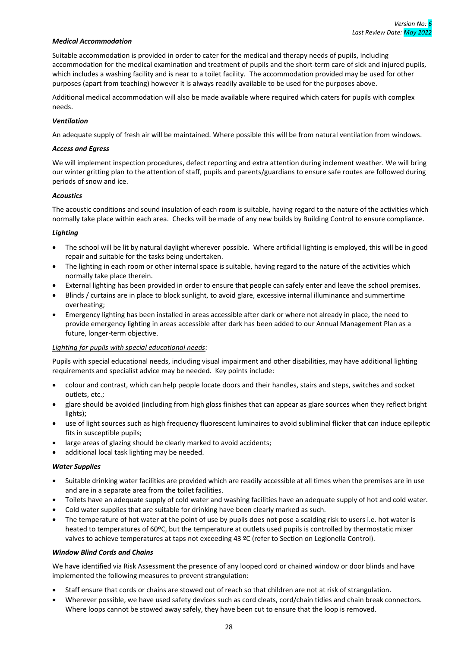#### *Medical Accommodation*

Suitable accommodation is provided in order to cater for the medical and therapy needs of pupils, including accommodation for the medical examination and treatment of pupils and the short-term care of sick and injured pupils, which includes a washing facility and is near to a toilet facility. The accommodation provided may be used for other purposes (apart from teaching) however it is always readily available to be used for the purposes above.

Additional medical accommodation will also be made available where required which caters for pupils with complex needs.

#### *Ventilation*

An adequate supply of fresh air will be maintained. Where possible this will be from natural ventilation from windows.

#### *Access and Egress*

We will implement inspection procedures, defect reporting and extra attention during inclement weather. We will bring our winter gritting plan to the attention of staff, pupils and parents/guardians to ensure safe routes are followed during periods of snow and ice.

#### *Acoustics*

The acoustic conditions and sound insulation of each room is suitable, having regard to the nature of the activities which normally take place within each area. Checks will be made of any new builds by Building Control to ensure compliance.

#### *Lighting*

- The school will be lit by natural daylight wherever possible. Where artificial lighting is employed, this will be in good repair and suitable for the tasks being undertaken.
- The lighting in each room or other internal space is suitable, having regard to the nature of the activities which normally take place therein.
- External lighting has been provided in order to ensure that people can safely enter and leave the school premises.
- Blinds / curtains are in place to block sunlight, to avoid glare, excessive internal illuminance and summertime overheating;
- Emergency lighting has been installed in areas accessible after dark or where not already in place, the need to provide emergency lighting in areas accessible after dark has been added to our Annual Management Plan as a future, longer-term objective.

#### *Lighting for pupils with special educational needs:*

Pupils with special educational needs, including visual impairment and other disabilities, may have additional lighting requirements and specialist advice may be needed. Key points include:

- colour and contrast, which can help people locate doors and their handles, stairs and steps, switches and socket outlets, etc.;
- glare should be avoided (including from high gloss finishes that can appear as glare sources when they reflect bright lights);
- use of light sources such as high frequency fluorescent luminaires to avoid subliminal flicker that can induce epileptic fits in susceptible pupils;
- large areas of glazing should be clearly marked to avoid accidents;
- additional local task lighting may be needed.

#### *Water Supplies*

- Suitable drinking water facilities are provided which are readily accessible at all times when the premises are in use and are in a separate area from the toilet facilities.
- Toilets have an adequate supply of cold water and washing facilities have an adequate supply of hot and cold water.
- Cold water supplies that are suitable for drinking have been clearly marked as such.
- The temperature of hot water at the point of use by pupils does not pose a scalding risk to users i.e. hot water is heated to temperatures of 60ºC, but the temperature at outlets used pupils is controlled by thermostatic mixer valves to achieve temperatures at taps not exceeding 43 °C (refer to Section on Legionella Control).

#### *Window Blind Cords and Chains*

We have identified via Risk Assessment the presence of any looped cord or chained window or door blinds and have implemented the following measures to prevent strangulation:

- Staff ensure that cords or chains are stowed out of reach so that children are not at risk of strangulation.
- Wherever possible, we have used safety devices such as cord cleats, cord/chain tidies and chain break connectors. Where loops cannot be stowed away safely, they have been cut to ensure that the loop is removed.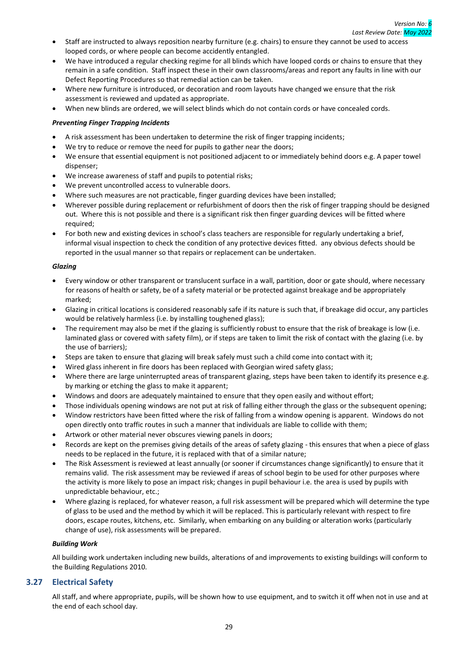- Staff are instructed to always reposition nearby furniture (e.g. chairs) to ensure they cannot be used to access looped cords, or where people can become accidently entangled.
- We have introduced a regular checking regime for all blinds which have looped cords or chains to ensure that they remain in a safe condition. Staff inspect these in their own classrooms/areas and report any faults in line with our Defect Reporting Procedures so that remedial action can be taken.
- Where new furniture is introduced, or decoration and room layouts have changed we ensure that the risk assessment is reviewed and updated as appropriate.
- When new blinds are ordered, we will select blinds which do not contain cords or have concealed cords.

#### *Preventing Finger Trapping Incidents*

- A risk assessment has been undertaken to determine the risk of finger trapping incidents;
- We try to reduce or remove the need for pupils to gather near the doors;
- We ensure that essential equipment is not positioned adjacent to or immediately behind doors e.g. A paper towel dispenser;
- We increase awareness of staff and pupils to potential risks;
- We prevent uncontrolled access to vulnerable doors.
- Where such measures are not practicable, finger guarding devices have been installed;
- Wherever possible during replacement or refurbishment of doors then the risk of finger trapping should be designed out. Where this is not possible and there is a significant risk then finger guarding devices will be fitted where required;
- For both new and existing devices in school's class teachers are responsible for regularly undertaking a brief, informal visual inspection to check the condition of any protective devices fitted. any obvious defects should be reported in the usual manner so that repairs or replacement can be undertaken.

#### *Glazing*

- Every window or other transparent or translucent surface in a wall, partition, door or gate should, where necessary for reasons of health or safety, be of a safety material or be protected against breakage and be appropriately marked;
- Glazing in critical locations is considered reasonably safe if its nature is such that, if breakage did occur, any particles would be relatively harmless (i.e. by installing toughened glass);
- The requirement may also be met if the glazing is sufficiently robust to ensure that the risk of breakage is low (i.e. laminated glass or covered with safety film), or if steps are taken to limit the risk of contact with the glazing (i.e. by the use of barriers);
- Steps are taken to ensure that glazing will break safely must such a child come into contact with it;
- Wired glass inherent in fire doors has been replaced with Georgian wired safety glass;
- Where there are large uninterrupted areas of transparent glazing, steps have been taken to identify its presence e.g. by marking or etching the glass to make it apparent;
- Windows and doors are adequately maintained to ensure that they open easily and without effort;
- Those individuals opening windows are not put at risk of falling either through the glass or the subsequent opening;
- Window restrictors have been fitted where the risk of falling from a window opening is apparent. Windows do not open directly onto traffic routes in such a manner that individuals are liable to collide with them;
- Artwork or other material never obscures viewing panels in doors;
- Records are kept on the premises giving details of the areas of safety glazing this ensures that when a piece of glass needs to be replaced in the future, it is replaced with that of a similar nature;
- The Risk Assessment is reviewed at least annually (or sooner if circumstances change significantly) to ensure that it remains valid. The risk assessment may be reviewed if areas of school begin to be used for other purposes where the activity is more likely to pose an impact risk; changes in pupil behaviour i.e. the area is used by pupils with unpredictable behaviour, etc.;
- Where glazing is replaced, for whatever reason, a full risk assessment will be prepared which will determine the type of glass to be used and the method by which it will be replaced. This is particularly relevant with respect to fire doors, escape routes, kitchens, etc. Similarly, when embarking on any building or alteration works (particularly change of use), risk assessments will be prepared.

#### *Building Work*

All building work undertaken including new builds, alterations of and improvements to existing buildings will conform to the Building Regulations 2010.

## <span id="page-32-0"></span>**3.27 Electrical Safety**

All staff, and where appropriate, pupils, will be shown how to use equipment, and to switch it off when not in use and at the end of each school day.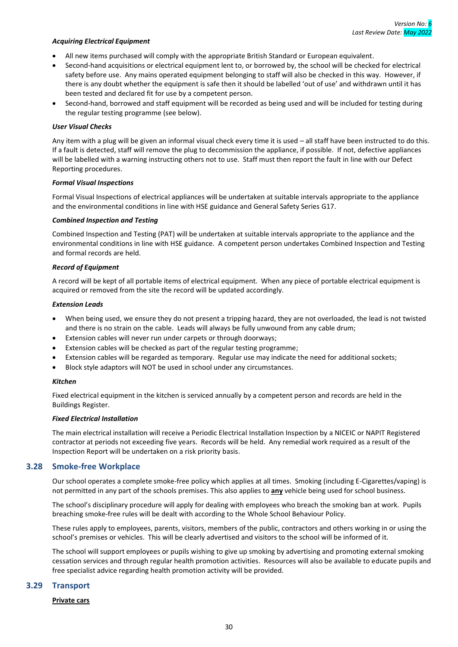#### *Acquiring Electrical Equipment*

- All new items purchased will comply with the appropriate British Standard or European equivalent.
- Second-hand acquisitions or electrical equipment lent to, or borrowed by, the school will be checked for electrical safety before use. Any mains operated equipment belonging to staff will also be checked in this way. However, if there is any doubt whether the equipment is safe then it should be labelled 'out of use' and withdrawn until it has been tested and declared fit for use by a competent person.
- Second-hand, borrowed and staff equipment will be recorded as being used and will be included for testing during the regular testing programme (see below).

#### *User Visual Checks*

Any item with a plug will be given an informal visual check every time it is used – all staff have been instructed to do this. If a fault is detected, staff will remove the plug to decommission the appliance, if possible. If not, defective appliances will be labelled with a warning instructing others not to use. Staff must then report the fault in line with our Defect Reporting procedures.

#### *Formal Visual Inspections*

Formal Visual Inspections of electrical appliances will be undertaken at suitable intervals appropriate to the appliance and the environmental conditions in line with HSE guidance and General Safety Series G17.

#### *Combined Inspection and Testing*

Combined Inspection and Testing (PAT) will be undertaken at suitable intervals appropriate to the appliance and the environmental conditions in line with HSE guidance. A competent person undertakes Combined Inspection and Testing and formal records are held.

#### *Record of Equipment*

A record will be kept of all portable items of electrical equipment. When any piece of portable electrical equipment is acquired or removed from the site the record will be updated accordingly.

#### *Extension Leads*

- When being used, we ensure they do not present a tripping hazard, they are not overloaded, the lead is not twisted and there is no strain on the cable. Leads will always be fully unwound from any cable drum;
- Extension cables will never run under carpets or through doorways;
- Extension cables will be checked as part of the regular testing programme;
- Extension cables will be regarded as temporary. Regular use may indicate the need for additional sockets;
- Block style adaptors will NOT be used in school under any circumstances.

#### *Kitchen*

Fixed electrical equipment in the kitchen is serviced annually by a competent person and records are held in the Buildings Register.

#### *Fixed Electrical Installation*

The main electrical installation will receive a Periodic Electrical Installation Inspection by a NICEIC or NAPIT Registered contractor at periods not exceeding five years. Records will be held. Any remedial work required as a result of the Inspection Report will be undertaken on a risk priority basis.

#### <span id="page-33-0"></span>**3.28 Smoke-free Workplace**

Our school operates a complete smoke-free policy which applies at all times. Smoking (including E-Cigarettes/vaping) is not permitted in any part of the schools premises. This also applies to **any** vehicle being used for school business.

The school's disciplinary procedure will apply for dealing with employees who breach the smoking ban at work. Pupils breaching smoke-free rules will be dealt with according to the Whole School Behaviour Policy.

These rules apply to employees, parents, visitors, members of the public, contractors and others working in or using the school's premises or vehicles. This will be clearly advertised and visitors to the school will be informed of it.

The school will support employees or pupils wishing to give up smoking by advertising and promoting external smoking cessation services and through regular health promotion activities. Resources will also be available to educate pupils and free specialist advice regarding health promotion activity will be provided.

#### <span id="page-33-1"></span>**3.29 Transport**

#### **Private cars**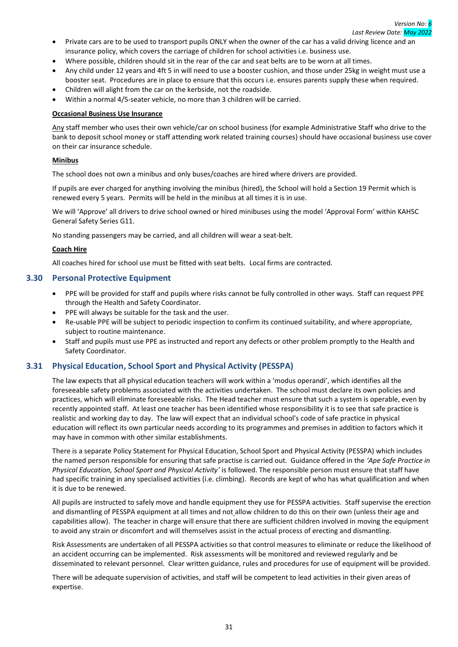- Private cars are to be used to transport pupils ONLY when the owner of the car has a valid driving licence and an insurance policy, which covers the carriage of children for school activities i.e. business use.
- Where possible, children should sit in the rear of the car and seat belts are to be worn at all times.
- Any child under 12 years and 4ft 5 in will need to use a booster cushion, and those under 25kg in weight must use a booster seat. Procedures are in place to ensure that this occurs i.e. ensures parents supply these when required.
- Children will alight from the car on the kerbside, not the roadside.
- Within a normal 4/5-seater vehicle, no more than 3 children will be carried.

#### **Occasional Business Use Insurance**

Any staff member who uses their own vehicle/car on school business (for example Administrative Staff who drive to the bank to deposit school money or staff attending work related training courses) should have occasional business use cover on their car insurance schedule.

## **Minibus**

The school does not own a minibus and only buses/coaches are hired where drivers are provided.

If pupils are ever charged for anything involving the minibus (hired), the School will hold a Section 19 Permit which is renewed every 5 years. Permits will be held in the minibus at all times it is in use.

We will 'Approve' all drivers to drive school owned or hired minibuses using the model 'Approval Form' within KAHSC General Safety Series G11.

No standing passengers may be carried, and all children will wear a seat-belt.

## **Coach Hire**

All coaches hired for school use must be fitted with seat belts. Local firms are contracted.

## <span id="page-34-0"></span>**3.30 Personal Protective Equipment**

- PPE will be provided for staff and pupils where risks cannot be fully controlled in other ways. Staff can request PPE through the Health and Safety Coordinator.
- PPE will always be suitable for the task and the user.
- Re-usable PPE will be subject to periodic inspection to confirm its continued suitability, and where appropriate, subject to routine maintenance.
- Staff and pupils must use PPE as instructed and report any defects or other problem promptly to the Health and Safety Coordinator.

## <span id="page-34-1"></span>**3.31 Physical Education, School Sport and Physical Activity (PESSPA)**

The law expects that all physical education teachers will work within a 'modus operandi', which identifies all the foreseeable safety problems associated with the activities undertaken. The school must declare its own policies and practices, which will eliminate foreseeable risks. The Head teacher must ensure that such a system is operable, even by recently appointed staff. At least one teacher has been identified whose responsibility it is to see that safe practice is realistic and working day to day. The law will expect that an individual school's code of safe practice in physical education will reflect its own particular needs according to its programmes and premises in addition to factors which it may have in common with other similar establishments.

There is a separate Policy Statement for Physical Education, School Sport and Physical Activity (PESSPA) which includes the named person responsible for ensuring that safe practise is carried out. Guidance offered in the *'Ape Safe Practice in Physical Education, School Sport and Physical Activity'* is followed. The responsible person must ensure that staff have had specific training in any specialised activities (i.e. climbing). Records are kept of who has what qualification and when it is due to be renewed.

All pupils are instructed to safely move and handle equipment they use for PESSPA activities. Staff supervise the erection and dismantling of PESSPA equipment at all times and not allow children to do this on their own (unless their age and capabilities allow). The teacher in charge will ensure that there are sufficient children involved in moving the equipment to avoid any strain or discomfort and will themselves assist in the actual process of erecting and dismantling.

Risk Assessments are undertaken of all PESSPA activities so that control measures to eliminate or reduce the likelihood of an accident occurring can be implemented. Risk assessments will be monitored and reviewed regularly and be disseminated to relevant personnel. Clear written guidance, rules and procedures for use of equipment will be provided.

There will be adequate supervision of activities, and staff will be competent to lead activities in their given areas of expertise.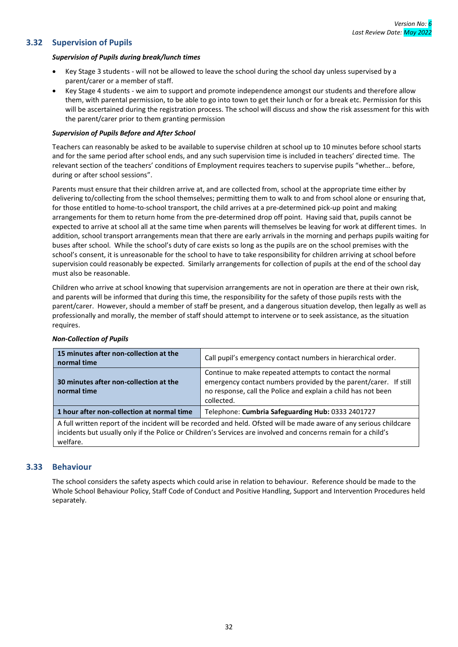## <span id="page-35-0"></span>**3.32 Supervision of Pupils**

#### *Supervision of Pupils during break/lunch times*

- Key Stage 3 students will not be allowed to leave the school during the school day unless supervised by a parent/carer or a member of staff.
- Key Stage 4 students we aim to support and promote independence amongst our students and therefore allow them, with parental permission, to be able to go into town to get their lunch or for a break etc. Permission for this will be ascertained during the registration process. The school will discuss and show the risk assessment for this with the parent/carer prior to them granting permission

#### *Supervision of Pupils Before and After School*

Teachers can reasonably be asked to be available to supervise children at school up to 10 minutes before school starts and for the same period after school ends, and any such supervision time is included in teachers' directed time. The relevant section of the teachers' conditions of Employment requires teachers to supervise pupils "whether… before, during or after school sessions".

Parents must ensure that their children arrive at, and are collected from, school at the appropriate time either by delivering to/collecting from the school themselves; permitting them to walk to and from school alone or ensuring that, for those entitled to home-to-school transport, the child arrives at a pre-determined pick-up point and making arrangements for them to return home from the pre-determined drop off point. Having said that, pupils cannot be expected to arrive at school all at the same time when parents will themselves be leaving for work at different times. In addition, school transport arrangements mean that there are early arrivals in the morning and perhaps pupils waiting for buses after school. While the school's duty of care exists so long as the pupils are on the school premises with the school's consent, it is unreasonable for the school to have to take responsibility for children arriving at school before supervision could reasonably be expected. Similarly arrangements for collection of pupils at the end of the school day must also be reasonable.

Children who arrive at school knowing that supervision arrangements are not in operation are there at their own risk, and parents will be informed that during this time, the responsibility for the safety of those pupils rests with the parent/carer. However, should a member of staff be present, and a dangerous situation develop, then legally as well as professionally and morally, the member of staff should attempt to intervene or to seek assistance, as the situation requires.

| 15 minutes after non-collection at the<br>normal time                                                                                                                                                                                             | Call pupil's emergency contact numbers in hierarchical order.                                                                                                                                               |  |
|---------------------------------------------------------------------------------------------------------------------------------------------------------------------------------------------------------------------------------------------------|-------------------------------------------------------------------------------------------------------------------------------------------------------------------------------------------------------------|--|
| 30 minutes after non-collection at the<br>normal time                                                                                                                                                                                             | Continue to make repeated attempts to contact the normal<br>emergency contact numbers provided by the parent/carer. If still<br>no response, call the Police and explain a child has not been<br>collected. |  |
| 1 hour after non-collection at normal time                                                                                                                                                                                                        | Telephone: Cumbria Safeguarding Hub: 0333 2401727                                                                                                                                                           |  |
| A full written report of the incident will be recorded and held. Ofsted will be made aware of any serious childcare<br>incidents but usually only if the Police or Children's Services are involved and concerns remain for a child's<br>welfare. |                                                                                                                                                                                                             |  |

#### *Non-Collection of Pupils*

## <span id="page-35-1"></span>**3.33 Behaviour**

The school considers the safety aspects which could arise in relation to behaviour. Reference should be made to the Whole School Behaviour Policy, Staff Code of Conduct and Positive Handling, Support and Intervention Procedures held separately.